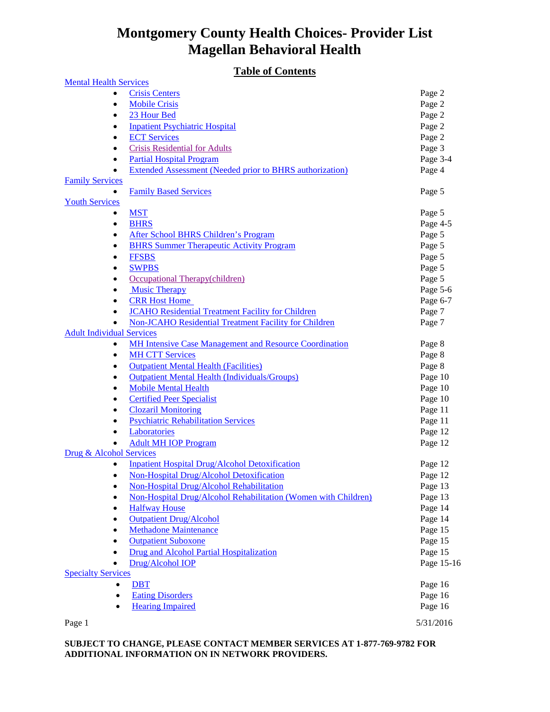### **Table of Contents**

| Page 2<br><b>Crisis Centers</b><br><b>Mobile Crisis</b><br>Page 2<br>$\bullet$<br>23 Hour Bed<br>Page 2<br>$\bullet$<br><b>Inpatient Psychiatric Hospital</b><br>Page 2<br>$\bullet$<br><b>ECT Services</b><br>Page 2<br>$\bullet$<br><b>Crisis Residential for Adults</b><br>Page 3<br>٠<br><b>Partial Hospital Program</b><br>Page 3-4<br>$\bullet$<br><b>Extended Assessment (Needed prior to BHRS authorization)</b><br>Page 4<br><b>Family Services</b><br><b>Family Based Services</b><br>Page 5<br>$\bullet$<br><b>Youth Services</b><br><b>MST</b><br>Page 5<br>$\bullet$<br>Page 4-5<br><b>BHRS</b><br>$\bullet$<br><b>After School BHRS Children's Program</b><br>Page 5<br>٠<br><b>BHRS Summer Therapeutic Activity Program</b><br>Page 5<br>$\bullet$<br><b>FFSBS</b><br>Page 5<br>$\bullet$<br>Page 5<br><b>SWPBS</b><br>٠<br>Page 5<br>Occupational Therapy(children)<br>٠<br><b>Music Therapy</b><br>Page 5-6<br>٠<br><b>CRR Host Home</b><br>Page 6-7<br>$\bullet$<br><b>JCAHO Residential Treatment Facility for Children</b><br>Page 7<br>$\bullet$<br><b>Non-JCAHO Residential Treatment Facility for Children</b><br>Page 7<br><b>Adult Individual Services</b><br><b>MH Intensive Case Management and Resource Coordination</b><br>Page 8<br>$\bullet$<br><b>MH CTT Services</b><br>Page 8<br>$\bullet$<br><b>Outpatient Mental Health (Facilities)</b><br>Page 8<br>$\bullet$<br><b>Outpatient Mental Health (Individuals/Groups)</b><br>Page 10<br>$\bullet$<br><b>Mobile Mental Health</b><br>Page 10<br>$\bullet$<br><b>Certified Peer Specialist</b><br>Page 10<br>٠<br><b>Clozaril Monitoring</b><br>Page 11<br>$\bullet$<br><b>Psychiatric Rehabilitation Services</b><br>Page 11<br>٠<br>Laboratories<br>Page 12<br>$\bullet$<br><b>Adult MH IOP Program</b><br>Page 12<br>$\bullet$<br>Drug & Alcohol Services<br><b>Inpatient Hospital Drug/Alcohol Detoxification</b><br>Page 12<br>$\bullet$<br>Non-Hospital Drug/Alcohol Detoxification<br>Page 12<br>Non-Hospital Drug/Alcohol Rehabilitation<br>Page 13<br>$\bullet$<br>Non-Hospital Drug/Alcohol Rehabilitation (Women with Children)<br>Page 13<br>$\bullet$<br>Page 14<br><b>Halfway House</b><br>٠<br><b>Outpatient Drug/Alcohol</b><br>Page 14<br>$\bullet$<br>Page 15<br><b>Methadone Maintenance</b><br>٠<br>Page 15<br><b>Outpatient Suboxone</b><br>٠<br><b>Drug and Alcohol Partial Hospitalization</b><br>Page 15<br>$\bullet$ | <b>Table of Contents</b>      |            |
|-------------------------------------------------------------------------------------------------------------------------------------------------------------------------------------------------------------------------------------------------------------------------------------------------------------------------------------------------------------------------------------------------------------------------------------------------------------------------------------------------------------------------------------------------------------------------------------------------------------------------------------------------------------------------------------------------------------------------------------------------------------------------------------------------------------------------------------------------------------------------------------------------------------------------------------------------------------------------------------------------------------------------------------------------------------------------------------------------------------------------------------------------------------------------------------------------------------------------------------------------------------------------------------------------------------------------------------------------------------------------------------------------------------------------------------------------------------------------------------------------------------------------------------------------------------------------------------------------------------------------------------------------------------------------------------------------------------------------------------------------------------------------------------------------------------------------------------------------------------------------------------------------------------------------------------------------------------------------------------------------------------------------------------------------------------------------------------------------------------------------------------------------------------------------------------------------------------------------------------------------------------------------------------------------------------------------------------------------------------------------------------------------------------------------------|-------------------------------|------------|
|                                                                                                                                                                                                                                                                                                                                                                                                                                                                                                                                                                                                                                                                                                                                                                                                                                                                                                                                                                                                                                                                                                                                                                                                                                                                                                                                                                                                                                                                                                                                                                                                                                                                                                                                                                                                                                                                                                                                                                                                                                                                                                                                                                                                                                                                                                                                                                                                                               | <b>Mental Health Services</b> |            |
|                                                                                                                                                                                                                                                                                                                                                                                                                                                                                                                                                                                                                                                                                                                                                                                                                                                                                                                                                                                                                                                                                                                                                                                                                                                                                                                                                                                                                                                                                                                                                                                                                                                                                                                                                                                                                                                                                                                                                                                                                                                                                                                                                                                                                                                                                                                                                                                                                               |                               |            |
|                                                                                                                                                                                                                                                                                                                                                                                                                                                                                                                                                                                                                                                                                                                                                                                                                                                                                                                                                                                                                                                                                                                                                                                                                                                                                                                                                                                                                                                                                                                                                                                                                                                                                                                                                                                                                                                                                                                                                                                                                                                                                                                                                                                                                                                                                                                                                                                                                               |                               |            |
|                                                                                                                                                                                                                                                                                                                                                                                                                                                                                                                                                                                                                                                                                                                                                                                                                                                                                                                                                                                                                                                                                                                                                                                                                                                                                                                                                                                                                                                                                                                                                                                                                                                                                                                                                                                                                                                                                                                                                                                                                                                                                                                                                                                                                                                                                                                                                                                                                               |                               |            |
|                                                                                                                                                                                                                                                                                                                                                                                                                                                                                                                                                                                                                                                                                                                                                                                                                                                                                                                                                                                                                                                                                                                                                                                                                                                                                                                                                                                                                                                                                                                                                                                                                                                                                                                                                                                                                                                                                                                                                                                                                                                                                                                                                                                                                                                                                                                                                                                                                               |                               |            |
|                                                                                                                                                                                                                                                                                                                                                                                                                                                                                                                                                                                                                                                                                                                                                                                                                                                                                                                                                                                                                                                                                                                                                                                                                                                                                                                                                                                                                                                                                                                                                                                                                                                                                                                                                                                                                                                                                                                                                                                                                                                                                                                                                                                                                                                                                                                                                                                                                               |                               |            |
|                                                                                                                                                                                                                                                                                                                                                                                                                                                                                                                                                                                                                                                                                                                                                                                                                                                                                                                                                                                                                                                                                                                                                                                                                                                                                                                                                                                                                                                                                                                                                                                                                                                                                                                                                                                                                                                                                                                                                                                                                                                                                                                                                                                                                                                                                                                                                                                                                               |                               |            |
|                                                                                                                                                                                                                                                                                                                                                                                                                                                                                                                                                                                                                                                                                                                                                                                                                                                                                                                                                                                                                                                                                                                                                                                                                                                                                                                                                                                                                                                                                                                                                                                                                                                                                                                                                                                                                                                                                                                                                                                                                                                                                                                                                                                                                                                                                                                                                                                                                               |                               |            |
|                                                                                                                                                                                                                                                                                                                                                                                                                                                                                                                                                                                                                                                                                                                                                                                                                                                                                                                                                                                                                                                                                                                                                                                                                                                                                                                                                                                                                                                                                                                                                                                                                                                                                                                                                                                                                                                                                                                                                                                                                                                                                                                                                                                                                                                                                                                                                                                                                               |                               |            |
|                                                                                                                                                                                                                                                                                                                                                                                                                                                                                                                                                                                                                                                                                                                                                                                                                                                                                                                                                                                                                                                                                                                                                                                                                                                                                                                                                                                                                                                                                                                                                                                                                                                                                                                                                                                                                                                                                                                                                                                                                                                                                                                                                                                                                                                                                                                                                                                                                               |                               |            |
|                                                                                                                                                                                                                                                                                                                                                                                                                                                                                                                                                                                                                                                                                                                                                                                                                                                                                                                                                                                                                                                                                                                                                                                                                                                                                                                                                                                                                                                                                                                                                                                                                                                                                                                                                                                                                                                                                                                                                                                                                                                                                                                                                                                                                                                                                                                                                                                                                               |                               |            |
|                                                                                                                                                                                                                                                                                                                                                                                                                                                                                                                                                                                                                                                                                                                                                                                                                                                                                                                                                                                                                                                                                                                                                                                                                                                                                                                                                                                                                                                                                                                                                                                                                                                                                                                                                                                                                                                                                                                                                                                                                                                                                                                                                                                                                                                                                                                                                                                                                               |                               |            |
|                                                                                                                                                                                                                                                                                                                                                                                                                                                                                                                                                                                                                                                                                                                                                                                                                                                                                                                                                                                                                                                                                                                                                                                                                                                                                                                                                                                                                                                                                                                                                                                                                                                                                                                                                                                                                                                                                                                                                                                                                                                                                                                                                                                                                                                                                                                                                                                                                               |                               |            |
|                                                                                                                                                                                                                                                                                                                                                                                                                                                                                                                                                                                                                                                                                                                                                                                                                                                                                                                                                                                                                                                                                                                                                                                                                                                                                                                                                                                                                                                                                                                                                                                                                                                                                                                                                                                                                                                                                                                                                                                                                                                                                                                                                                                                                                                                                                                                                                                                                               |                               |            |
|                                                                                                                                                                                                                                                                                                                                                                                                                                                                                                                                                                                                                                                                                                                                                                                                                                                                                                                                                                                                                                                                                                                                                                                                                                                                                                                                                                                                                                                                                                                                                                                                                                                                                                                                                                                                                                                                                                                                                                                                                                                                                                                                                                                                                                                                                                                                                                                                                               |                               |            |
|                                                                                                                                                                                                                                                                                                                                                                                                                                                                                                                                                                                                                                                                                                                                                                                                                                                                                                                                                                                                                                                                                                                                                                                                                                                                                                                                                                                                                                                                                                                                                                                                                                                                                                                                                                                                                                                                                                                                                                                                                                                                                                                                                                                                                                                                                                                                                                                                                               |                               |            |
|                                                                                                                                                                                                                                                                                                                                                                                                                                                                                                                                                                                                                                                                                                                                                                                                                                                                                                                                                                                                                                                                                                                                                                                                                                                                                                                                                                                                                                                                                                                                                                                                                                                                                                                                                                                                                                                                                                                                                                                                                                                                                                                                                                                                                                                                                                                                                                                                                               |                               |            |
|                                                                                                                                                                                                                                                                                                                                                                                                                                                                                                                                                                                                                                                                                                                                                                                                                                                                                                                                                                                                                                                                                                                                                                                                                                                                                                                                                                                                                                                                                                                                                                                                                                                                                                                                                                                                                                                                                                                                                                                                                                                                                                                                                                                                                                                                                                                                                                                                                               |                               |            |
|                                                                                                                                                                                                                                                                                                                                                                                                                                                                                                                                                                                                                                                                                                                                                                                                                                                                                                                                                                                                                                                                                                                                                                                                                                                                                                                                                                                                                                                                                                                                                                                                                                                                                                                                                                                                                                                                                                                                                                                                                                                                                                                                                                                                                                                                                                                                                                                                                               |                               |            |
|                                                                                                                                                                                                                                                                                                                                                                                                                                                                                                                                                                                                                                                                                                                                                                                                                                                                                                                                                                                                                                                                                                                                                                                                                                                                                                                                                                                                                                                                                                                                                                                                                                                                                                                                                                                                                                                                                                                                                                                                                                                                                                                                                                                                                                                                                                                                                                                                                               |                               |            |
|                                                                                                                                                                                                                                                                                                                                                                                                                                                                                                                                                                                                                                                                                                                                                                                                                                                                                                                                                                                                                                                                                                                                                                                                                                                                                                                                                                                                                                                                                                                                                                                                                                                                                                                                                                                                                                                                                                                                                                                                                                                                                                                                                                                                                                                                                                                                                                                                                               |                               |            |
|                                                                                                                                                                                                                                                                                                                                                                                                                                                                                                                                                                                                                                                                                                                                                                                                                                                                                                                                                                                                                                                                                                                                                                                                                                                                                                                                                                                                                                                                                                                                                                                                                                                                                                                                                                                                                                                                                                                                                                                                                                                                                                                                                                                                                                                                                                                                                                                                                               |                               |            |
|                                                                                                                                                                                                                                                                                                                                                                                                                                                                                                                                                                                                                                                                                                                                                                                                                                                                                                                                                                                                                                                                                                                                                                                                                                                                                                                                                                                                                                                                                                                                                                                                                                                                                                                                                                                                                                                                                                                                                                                                                                                                                                                                                                                                                                                                                                                                                                                                                               |                               |            |
|                                                                                                                                                                                                                                                                                                                                                                                                                                                                                                                                                                                                                                                                                                                                                                                                                                                                                                                                                                                                                                                                                                                                                                                                                                                                                                                                                                                                                                                                                                                                                                                                                                                                                                                                                                                                                                                                                                                                                                                                                                                                                                                                                                                                                                                                                                                                                                                                                               |                               |            |
|                                                                                                                                                                                                                                                                                                                                                                                                                                                                                                                                                                                                                                                                                                                                                                                                                                                                                                                                                                                                                                                                                                                                                                                                                                                                                                                                                                                                                                                                                                                                                                                                                                                                                                                                                                                                                                                                                                                                                                                                                                                                                                                                                                                                                                                                                                                                                                                                                               |                               |            |
|                                                                                                                                                                                                                                                                                                                                                                                                                                                                                                                                                                                                                                                                                                                                                                                                                                                                                                                                                                                                                                                                                                                                                                                                                                                                                                                                                                                                                                                                                                                                                                                                                                                                                                                                                                                                                                                                                                                                                                                                                                                                                                                                                                                                                                                                                                                                                                                                                               |                               |            |
|                                                                                                                                                                                                                                                                                                                                                                                                                                                                                                                                                                                                                                                                                                                                                                                                                                                                                                                                                                                                                                                                                                                                                                                                                                                                                                                                                                                                                                                                                                                                                                                                                                                                                                                                                                                                                                                                                                                                                                                                                                                                                                                                                                                                                                                                                                                                                                                                                               |                               |            |
|                                                                                                                                                                                                                                                                                                                                                                                                                                                                                                                                                                                                                                                                                                                                                                                                                                                                                                                                                                                                                                                                                                                                                                                                                                                                                                                                                                                                                                                                                                                                                                                                                                                                                                                                                                                                                                                                                                                                                                                                                                                                                                                                                                                                                                                                                                                                                                                                                               |                               |            |
|                                                                                                                                                                                                                                                                                                                                                                                                                                                                                                                                                                                                                                                                                                                                                                                                                                                                                                                                                                                                                                                                                                                                                                                                                                                                                                                                                                                                                                                                                                                                                                                                                                                                                                                                                                                                                                                                                                                                                                                                                                                                                                                                                                                                                                                                                                                                                                                                                               |                               |            |
|                                                                                                                                                                                                                                                                                                                                                                                                                                                                                                                                                                                                                                                                                                                                                                                                                                                                                                                                                                                                                                                                                                                                                                                                                                                                                                                                                                                                                                                                                                                                                                                                                                                                                                                                                                                                                                                                                                                                                                                                                                                                                                                                                                                                                                                                                                                                                                                                                               |                               |            |
|                                                                                                                                                                                                                                                                                                                                                                                                                                                                                                                                                                                                                                                                                                                                                                                                                                                                                                                                                                                                                                                                                                                                                                                                                                                                                                                                                                                                                                                                                                                                                                                                                                                                                                                                                                                                                                                                                                                                                                                                                                                                                                                                                                                                                                                                                                                                                                                                                               |                               |            |
|                                                                                                                                                                                                                                                                                                                                                                                                                                                                                                                                                                                                                                                                                                                                                                                                                                                                                                                                                                                                                                                                                                                                                                                                                                                                                                                                                                                                                                                                                                                                                                                                                                                                                                                                                                                                                                                                                                                                                                                                                                                                                                                                                                                                                                                                                                                                                                                                                               |                               |            |
|                                                                                                                                                                                                                                                                                                                                                                                                                                                                                                                                                                                                                                                                                                                                                                                                                                                                                                                                                                                                                                                                                                                                                                                                                                                                                                                                                                                                                                                                                                                                                                                                                                                                                                                                                                                                                                                                                                                                                                                                                                                                                                                                                                                                                                                                                                                                                                                                                               |                               |            |
|                                                                                                                                                                                                                                                                                                                                                                                                                                                                                                                                                                                                                                                                                                                                                                                                                                                                                                                                                                                                                                                                                                                                                                                                                                                                                                                                                                                                                                                                                                                                                                                                                                                                                                                                                                                                                                                                                                                                                                                                                                                                                                                                                                                                                                                                                                                                                                                                                               |                               |            |
|                                                                                                                                                                                                                                                                                                                                                                                                                                                                                                                                                                                                                                                                                                                                                                                                                                                                                                                                                                                                                                                                                                                                                                                                                                                                                                                                                                                                                                                                                                                                                                                                                                                                                                                                                                                                                                                                                                                                                                                                                                                                                                                                                                                                                                                                                                                                                                                                                               |                               |            |
|                                                                                                                                                                                                                                                                                                                                                                                                                                                                                                                                                                                                                                                                                                                                                                                                                                                                                                                                                                                                                                                                                                                                                                                                                                                                                                                                                                                                                                                                                                                                                                                                                                                                                                                                                                                                                                                                                                                                                                                                                                                                                                                                                                                                                                                                                                                                                                                                                               |                               |            |
|                                                                                                                                                                                                                                                                                                                                                                                                                                                                                                                                                                                                                                                                                                                                                                                                                                                                                                                                                                                                                                                                                                                                                                                                                                                                                                                                                                                                                                                                                                                                                                                                                                                                                                                                                                                                                                                                                                                                                                                                                                                                                                                                                                                                                                                                                                                                                                                                                               |                               |            |
|                                                                                                                                                                                                                                                                                                                                                                                                                                                                                                                                                                                                                                                                                                                                                                                                                                                                                                                                                                                                                                                                                                                                                                                                                                                                                                                                                                                                                                                                                                                                                                                                                                                                                                                                                                                                                                                                                                                                                                                                                                                                                                                                                                                                                                                                                                                                                                                                                               |                               |            |
|                                                                                                                                                                                                                                                                                                                                                                                                                                                                                                                                                                                                                                                                                                                                                                                                                                                                                                                                                                                                                                                                                                                                                                                                                                                                                                                                                                                                                                                                                                                                                                                                                                                                                                                                                                                                                                                                                                                                                                                                                                                                                                                                                                                                                                                                                                                                                                                                                               |                               |            |
|                                                                                                                                                                                                                                                                                                                                                                                                                                                                                                                                                                                                                                                                                                                                                                                                                                                                                                                                                                                                                                                                                                                                                                                                                                                                                                                                                                                                                                                                                                                                                                                                                                                                                                                                                                                                                                                                                                                                                                                                                                                                                                                                                                                                                                                                                                                                                                                                                               |                               |            |
|                                                                                                                                                                                                                                                                                                                                                                                                                                                                                                                                                                                                                                                                                                                                                                                                                                                                                                                                                                                                                                                                                                                                                                                                                                                                                                                                                                                                                                                                                                                                                                                                                                                                                                                                                                                                                                                                                                                                                                                                                                                                                                                                                                                                                                                                                                                                                                                                                               |                               |            |
|                                                                                                                                                                                                                                                                                                                                                                                                                                                                                                                                                                                                                                                                                                                                                                                                                                                                                                                                                                                                                                                                                                                                                                                                                                                                                                                                                                                                                                                                                                                                                                                                                                                                                                                                                                                                                                                                                                                                                                                                                                                                                                                                                                                                                                                                                                                                                                                                                               |                               |            |
|                                                                                                                                                                                                                                                                                                                                                                                                                                                                                                                                                                                                                                                                                                                                                                                                                                                                                                                                                                                                                                                                                                                                                                                                                                                                                                                                                                                                                                                                                                                                                                                                                                                                                                                                                                                                                                                                                                                                                                                                                                                                                                                                                                                                                                                                                                                                                                                                                               |                               |            |
|                                                                                                                                                                                                                                                                                                                                                                                                                                                                                                                                                                                                                                                                                                                                                                                                                                                                                                                                                                                                                                                                                                                                                                                                                                                                                                                                                                                                                                                                                                                                                                                                                                                                                                                                                                                                                                                                                                                                                                                                                                                                                                                                                                                                                                                                                                                                                                                                                               |                               |            |
|                                                                                                                                                                                                                                                                                                                                                                                                                                                                                                                                                                                                                                                                                                                                                                                                                                                                                                                                                                                                                                                                                                                                                                                                                                                                                                                                                                                                                                                                                                                                                                                                                                                                                                                                                                                                                                                                                                                                                                                                                                                                                                                                                                                                                                                                                                                                                                                                                               | Drug/Alcohol IOP              | Page 15-16 |
|                                                                                                                                                                                                                                                                                                                                                                                                                                                                                                                                                                                                                                                                                                                                                                                                                                                                                                                                                                                                                                                                                                                                                                                                                                                                                                                                                                                                                                                                                                                                                                                                                                                                                                                                                                                                                                                                                                                                                                                                                                                                                                                                                                                                                                                                                                                                                                                                                               | <b>Specialty Services</b>     |            |
| Page 16<br><b>DBT</b><br>$\bullet$                                                                                                                                                                                                                                                                                                                                                                                                                                                                                                                                                                                                                                                                                                                                                                                                                                                                                                                                                                                                                                                                                                                                                                                                                                                                                                                                                                                                                                                                                                                                                                                                                                                                                                                                                                                                                                                                                                                                                                                                                                                                                                                                                                                                                                                                                                                                                                                            |                               |            |
| <b>Eating Disorders</b><br>Page 16<br>$\bullet$                                                                                                                                                                                                                                                                                                                                                                                                                                                                                                                                                                                                                                                                                                                                                                                                                                                                                                                                                                                                                                                                                                                                                                                                                                                                                                                                                                                                                                                                                                                                                                                                                                                                                                                                                                                                                                                                                                                                                                                                                                                                                                                                                                                                                                                                                                                                                                               |                               |            |
| <b>Hearing Impaired</b><br>Page 16                                                                                                                                                                                                                                                                                                                                                                                                                                                                                                                                                                                                                                                                                                                                                                                                                                                                                                                                                                                                                                                                                                                                                                                                                                                                                                                                                                                                                                                                                                                                                                                                                                                                                                                                                                                                                                                                                                                                                                                                                                                                                                                                                                                                                                                                                                                                                                                            |                               |            |
| 5/31/2016                                                                                                                                                                                                                                                                                                                                                                                                                                                                                                                                                                                                                                                                                                                                                                                                                                                                                                                                                                                                                                                                                                                                                                                                                                                                                                                                                                                                                                                                                                                                                                                                                                                                                                                                                                                                                                                                                                                                                                                                                                                                                                                                                                                                                                                                                                                                                                                                                     | Page 1                        |            |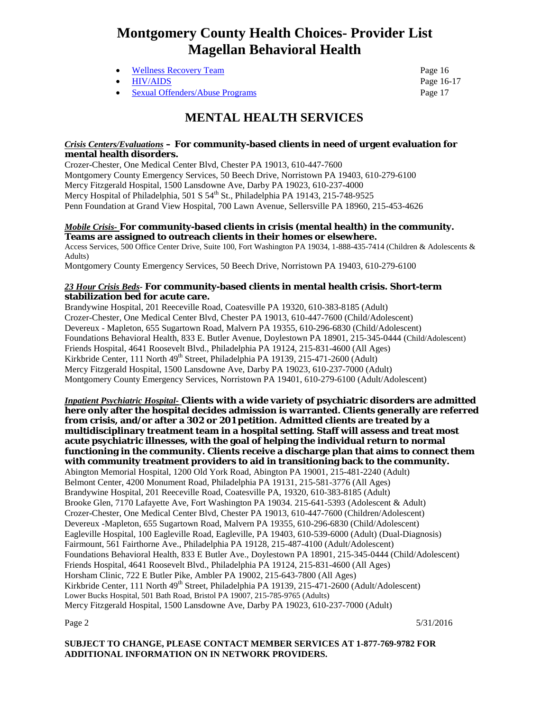- [Wellness Recovery Team](#page-15-4) Page 16
- 
- **[Sexual Offenders/Abuse Programs](#page-16-0) Page 17** Page 17

• [HIV/AIDS](#page-15-5) Page 16-17

### <span id="page-1-0"></span> **MENTAL HEALTH SERVICES**

#### <span id="page-1-1"></span>*Crisis Centers/Evaluations* **– For community-based clients in need of urgent evaluation for mental health disorders.**

Crozer-Chester, One Medical Center Blvd, Chester PA 19013, 610-447-7600 Montgomery County Emergency Services, 50 Beech Drive, Norristown PA 19403, 610-279-6100 Mercy Fitzgerald Hospital, 1500 Lansdowne Ave, Darby PA 19023, 610-237-4000 Mercy Hospital of Philadelphia, 501 S 54<sup>th</sup> St., Philadelphia PA 19143, 215-748-9525 Penn Foundation at Grand View Hospital, 700 Lawn Avenue, Sellersville PA 18960, 215-453-4626

#### <span id="page-1-2"></span>*Mobile Crisis-* **For community-based clients in crisis (mental health) in the community. Teams are assigned to outreach clients in their homes or elsewhere.**

Access Services, 500 Office Center Drive, Suite 100, Fort Washington PA 19034, 1-888-435-7414 (Children & Adolescents & Adults)

Montgomery County Emergency Services, 50 Beech Drive, Norristown PA 19403, 610-279-6100

#### <span id="page-1-3"></span>*23 Hour Crisis Beds***- For community-based clients in mental health crisis. Short-term stabilization bed for acute care.**

Brandywine Hospital, 201 Reeceville Road, Coatesville PA 19320, 610-383-8185 (Adult) Crozer-Chester, One Medical Center Blvd, Chester PA 19013, 610-447-7600 (Child/Adolescent) Devereux - Mapleton, 655 Sugartown Road, Malvern PA 19355, 610-296-6830 (Child/Adolescent) Foundations Behavioral Health, 833 E. Butler Avenue, Doylestown PA 18901, 215-345-0444 (Child/Adolescent) Friends Hospital, 4641 Roosevelt Blvd., Philadelphia PA 19124, 215-831-4600 (All Ages) Kirkbride Center, 111 North 49<sup>th</sup> Street, Philadelphia PA 19139, 215-471-2600 (Adult) Mercy Fitzgerald Hospital, 1500 Lansdowne Ave, Darby PA 19023, 610-237-7000 (Adult) Montgomery County Emergency Services, Norristown PA 19401, 610-279-6100 (Adult/Adolescent)

<span id="page-1-4"></span>*Inpatient Psychiatric Hospital-* **Clients with a wide variety of psychiatric disorders are admitted here only after the hospital decides admission is warranted. Clients generally are referred from crisis, and/or after a 302 or 201 petition. Admitted clients are treated by a multidisciplinary treatment team in a hospital setting. Staff will assess and treat most acute psychiatric illnesses, with the goal of helping the individual return to normal functioning in the community. Clients receive a discharge plan that aims to connect them with community treatment providers to aid in transitioning back to the community.**  Abington Memorial Hospital, 1200 Old York Road, Abington PA 19001, 215-481-2240 (Adult) Belmont Center, 4200 Monument Road, Philadelphia PA 19131, 215-581-3776 (All Ages) Brandywine Hospital, 201 Reeceville Road, Coatesville PA, 19320, 610-383-8185 (Adult) Brooke Glen, 7170 Lafayette Ave, Fort Washington PA 19034. 215-641-5393 (Adolescent & Adult) Crozer-Chester, One Medical Center Blvd, Chester PA 19013, 610-447-7600 (Children/Adolescent) Devereux -Mapleton, 655 Sugartown Road, Malvern PA 19355, 610-296-6830 (Child/Adolescent) Eagleville Hospital, 100 Eagleville Road, Eagleville, PA 19403, 610-539-6000 (Adult) (Dual-Diagnosis) Fairmount, 561 Fairthorne Ave., Philadelphia PA 19128, 215-487-4100 (Adult/Adolescent) Foundations Behavioral Health, 833 E Butler Ave., Doylestown PA 18901, 215-345-0444 (Child/Adolescent) Friends Hospital, 4641 Roosevelt Blvd., Philadelphia PA 19124, 215-831-4600 (All Ages) Horsham Clinic, 722 E Butler Pike, Ambler PA 19002, 215-643-7800 (All Ages) Kirkbride Center, 111 North 49<sup>th</sup> Street, Philadelphia PA 19139, 215-471-2600 (Adult/Adolescent) Lower Bucks Hospital, 501 Bath Road, Bristol PA 19007, 215-785-9765 (Adults) Mercy Fitzgerald Hospital, 1500 Lansdowne Ave, Darby PA 19023, 610-237-7000 (Adult)

Page 2  $5/31/2016$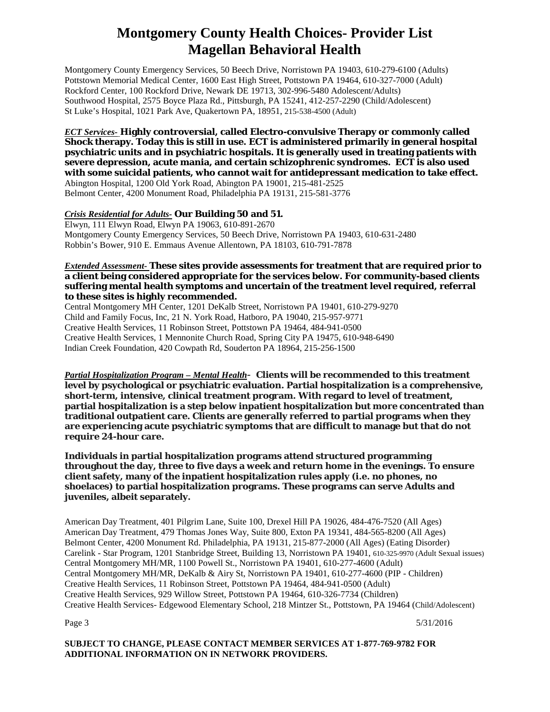Montgomery County Emergency Services, 50 Beech Drive, Norristown PA 19403, 610-279-6100 (Adults) Pottstown Memorial Medical Center, 1600 East High Street, Pottstown PA 19464, 610-327-7000 (Adult) Rockford Center, 100 Rockford Drive, Newark DE 19713, 302-996-5480 Adolescent/Adults) Southwood Hospital, 2575 Boyce Plaza Rd., Pittsburgh, PA 15241, 412-257-2290 (Child/Adolescent) St Luke's Hospital, 1021 Park Ave, Quakertown PA, 18951, 215-538-4500 (Adult)

<span id="page-2-0"></span>*ECT Services-* **Highly controversial, called Electro-convulsive Therapy or commonly called Shock therapy. Today this is still in use. ECT is administered primarily in general hospital psychiatric units and in psychiatric hospitals. It is generally used in treating patients with severe depression, acute mania, and certain schizophrenic syndromes. ECT is also used with some suicidal patients, who cannot wait for antidepressant medication to take effect.** Abington Hospital, 1200 Old York Road, Abington PA 19001, 215-481-2525 Belmont Center, 4200 Monument Road, Philadelphia PA 19131, 215-581-3776

#### <span id="page-2-1"></span>*Crisis Residential for Adults-* **Our Building 50 and 51.**

Elwyn, 111 Elwyn Road, Elwyn PA 19063, 610-891-2670 Montgomery County Emergency Services, 50 Beech Drive, Norristown PA 19403, 610-631-2480 Robbin's Bower, 910 E. Emmaus Avenue Allentown, PA 18103, 610-791-7878

#### <span id="page-2-3"></span>*Extended Assessment-* **These sites provide assessments for treatment that are required prior to a client being considered appropriate for the services below. For community-based clients suffering mental health symptoms and uncertain of the treatment level required, referral to these sites is highly recommended.**

Central Montgomery MH Center, 1201 DeKalb Street, Norristown PA 19401, 610-279-9270 Child and Family Focus, Inc, 21 N. York Road, Hatboro, PA 19040, 215-957-9771 Creative Health Services, 11 Robinson Street, Pottstown PA 19464, 484-941-0500 Creative Health Services, 1 Mennonite Church Road, Spring City PA 19475, 610-948-6490 Indian Creek Foundation, 420 Cowpath Rd, Souderton PA 18964, 215-256-1500

<span id="page-2-2"></span>*Partial Hospitalization Program – Mental Health*- **Clients will be recommended to this treatment level by psychological or psychiatric evaluation. Partial hospitalization is a comprehensive, short-term, intensive, clinical treatment program. With regard to level of treatment, partial hospitalization is a step below inpatient hospitalization but more concentrated than traditional outpatient care. Clients are generally referred to partial programs when they are experiencing acute psychiatric symptoms that are difficult to manage but that do not require 24-hour care.**

**Individuals in partial hospitalization programs attend structured programming throughout the day, three to five days a week and return home in the evenings. To ensure client safety, many of the inpatient hospitalization rules apply (i.e. no phones, no shoelaces) to partial hospitalization programs. These programs can serve Adults and juveniles, albeit separately.** 

American Day Treatment, 401 Pilgrim Lane, Suite 100, Drexel Hill PA 19026, 484-476-7520 (All Ages) American Day Treatment, 479 Thomas Jones Way, Suite 800, Exton PA 19341, 484-565-8200 (All Ages) Belmont Center, 4200 Monument Rd. Philadelphia, PA 19131, 215-877-2000 (All Ages) (Eating Disorder) Carelink - Star Program, 1201 Stanbridge Street, Building 13, Norristown PA 19401, 610-325-9970 (Adult Sexual issues) Central Montgomery MH/MR, 1100 Powell St., Norristown PA 19401, 610-277-4600 (Adult) Central Montgomery MH/MR, DeKalb & Airy St, Norristown PA 19401, 610-277-4600 (PIP - Children) Creative Health Services, 11 Robinson Street, Pottstown PA 19464, 484-941-0500 (Adult) Creative Health Services, 929 Willow Street, Pottstown PA 19464, 610-326-7734 (Children) Creative Health Services- Edgewood Elementary School, 218 Mintzer St., Pottstown, PA 19464 (Child/Adolescent)

Page 3  $5/31/2016$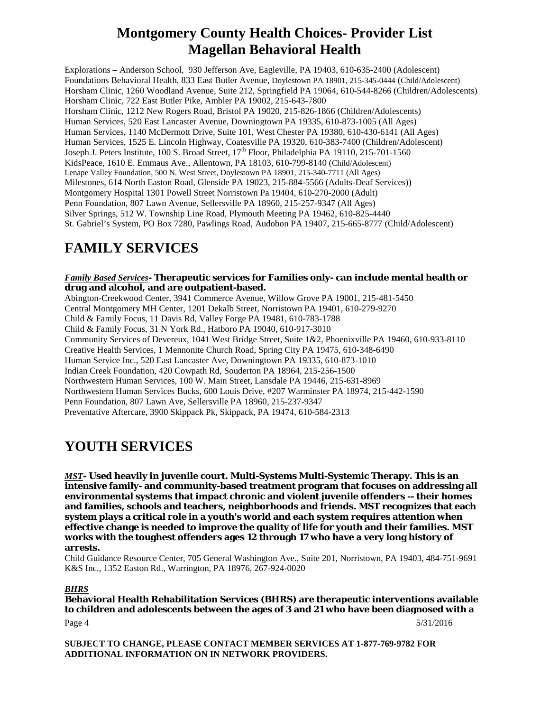Explorations – Anderson School, 930 Jefferson Ave, Eagleville, PA 19403, 610-635-2400 (Adolescent) Foundations Behavioral Health, 833 East Butler Avenue, Doylestown PA 18901, 215-345-0444 (Child/Adolescent) Horsham Clinic, 1260 Woodland Avenue, Suite 212, Springfield PA 19064, 610-544-8266 (Children/Adolescents) Horsham Clinic, 722 East Butler Pike, Ambler PA 19002, 215-643-7800 Horsham Clinic, 1212 New Rogers Road, Bristol PA 19020, 215-826-1866 (Children/Adolescents) Human Services, 520 East Lancaster Avenue, Downingtown PA 19335, 610-873-1005 (All Ages) Human Services, 1140 McDermott Drive, Suite 101, West Chester PA 19380, 610-430-6141 (All Ages) Human Services, 1525 E. Lincoln Highway, Coatesville PA 19320, 610-383-7400 (Children/Adolescent) Joseph J. Peters Institute, 100 S. Broad Street, 17<sup>th</sup> Floor, Philadelphia PA 19110, 215-701-1560 KidsPeace, 1610 E. Emmaus Ave., Allentown, PA 18103, 610-799-8140 (Child/Adolescent) Lenape Valley Foundation, 500 N. West Street, Doylestown PA 18901, 215-340-7711 (All Ages) Milestones, 614 North Easton Road, Glenside PA 19023, 215-884-5566 (Adults-Deaf Services)) Montgomery Hospital 1301 Powell Street Norristown Pa 19404, 610-270-2000 (Adult) Penn Foundation, 807 Lawn Avenue, Sellersville PA 18960, 215-257-9347 (All Ages) Silver Springs, 512 W. Township Line Road, Plymouth Meeting PA 19462, 610-825-4440 St. Gabriel's System, PO Box 7280, Pawlings Road, Audobon PA 19407, 215-665-8777 (Child/Adolescent)

# <span id="page-3-0"></span>**FAMILY SERVICES**

<span id="page-3-1"></span>*Family Based Services***- Therapeutic services for Families only- can include mental health or drug and alcohol, and are outpatient-based.**  Abington-Creekwood Center, 3941 Commerce Avenue, Willow Grove PA 19001, 215-481-5450 Central Montgomery MH Center, 1201 Dekalb Street, Norristown PA 19401, 610-279-9270 Child & Family Focus, 11 Davis Rd, Valley Forge PA 19481, 610-783-1788 Child & Family Focus, 31 N York Rd., Hatboro PA 19040, 610-917-3010 Community Services of Devereux, 1041 West Bridge Street, Suite 1&2, Phoenixville PA 19460, 610-933-8110 Creative Health Services, 1 Mennonite Church Road, Spring City PA 19475, 610-348-6490 Human Service Inc., 520 East Lancaster Ave, Downingtown PA 19335, 610-873-1010 Indian Creek Foundation, 420 Cowpath Rd, Souderton PA 18964, 215-256-1500 Northwestern Human Services, 100 W. Main Street, Lansdale PA 19446, 215-631-8969 Northwestern Human Services Bucks, 600 Louis Drive, #207 Warminster PA 18974, 215-442-1590 Penn Foundation, 807 Lawn Ave, Sellersville PA 18960, 215-237-9347 Preventative Aftercare, 3900 Skippack Pk, Skippack, PA 19474, 610-584-2313

# <span id="page-3-2"></span>**YOUTH SERVICES**

<span id="page-3-3"></span>*MST***- Used heavily in juvenile court. Multi-Systems Multi-Systemic Therapy. This is an intensive family- and community-based treatment program that focuses on addressing all environmental systems that impact chronic and violent juvenile offenders -- their homes and families, schools and teachers, neighborhoods and friends. MST recognizes that each system plays a critical role in a youth's world and each system requires attention when effective change is needed to improve the quality of life for youth and their families. MST works with the toughest offenders ages 12 through 17 who have a very long history of arrests.**

Child Guidance Resource Center, 705 General Washington Ave., Suite 201, Norristown, PA 19403, 484-751-9691 K&S Inc., 1352 Easton Rd., Warrington, PA 18976, 267-924-0020

### <span id="page-3-4"></span>*BHRS*

**Behavioral Health Rehabilitation Services (BHRS) are therapeutic interventions available to children and adolescents between the ages of 3 and 21 who have been diagnosed with a**  Page 4  $5/31/2016$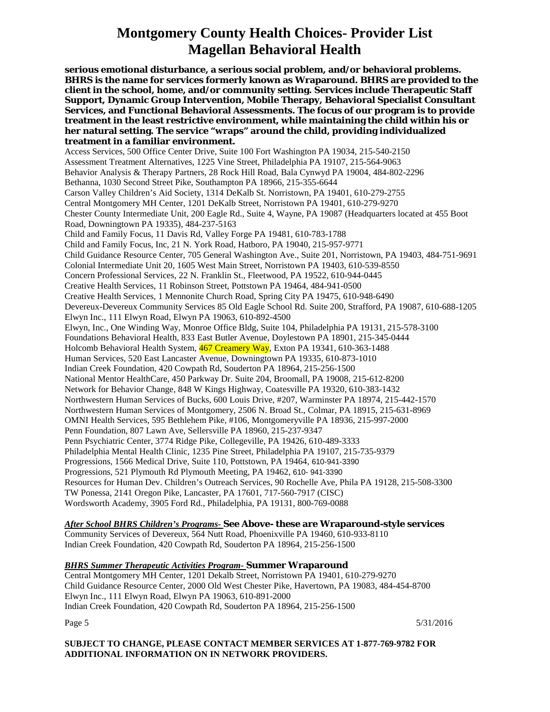**serious emotional disturbance, a serious social problem, and/or behavioral problems. BHRS is the name for services formerly known as Wraparound. BHRS are provided to the client in the school, home, and/or community setting. Services include Therapeutic Staff Support, Dynamic Group Intervention, Mobile Therapy, Behavioral Specialist Consultant Services, and Functional Behavioral Assessments. The focus of our program is to provide treatment in the least restrictive environment, while maintaining the child within his or her natural setting. The service "wraps" around the child, providing individualized treatment in a familiar environment.** Access Services, 500 Office Center Drive, Suite 100 Fort Washington PA 19034, 215-540-2150 Assessment Treatment Alternatives, 1225 Vine Street, Philadelphia PA 19107, 215-564-9063 Behavior Analysis & Therapy Partners, 28 Rock Hill Road, Bala Cynwyd PA 19004, 484-802-2296 Bethanna, 1030 Second Street Pike, Southampton PA 18966, 215-355-6644 Carson Valley Children's Aid Society, 1314 DeKalb St. Norristown, PA 19401, 610-279-2755 Central Montgomery MH Center, 1201 DeKalb Street, Norristown PA 19401, 610-279-9270 Chester County Intermediate Unit, 200 Eagle Rd., Suite 4, Wayne, PA 19087 (Headquarters located at 455 Boot Road, Downingtown PA 19335), 484-237-5163 Child and Family Focus, 11 Davis Rd, Valley Forge PA 19481, 610-783-1788 Child and Family Focus, Inc, 21 N. York Road, Hatboro, PA 19040, 215-957-9771 Child Guidance Resource Center, 705 General Washington Ave., Suite 201, Norristown, PA 19403, 484-751-9691 Colonial Intermediate Unit 20, 1605 West Main Street, Norristown PA 19403, 610-539-8550 Concern Professional Services, 22 N. Franklin St., Fleetwood, PA 19522, 610-944-0445 Creative Health Services, 11 Robinson Street, Pottstown PA 19464, 484-941-0500 Creative Health Services, 1 Mennonite Church Road, Spring City PA 19475, 610-948-6490 Devereux-Devereux Community Services 85 Old Eagle School Rd. Suite 200, Strafford, PA 19087, 610-688-1205 Elwyn Inc., 111 Elwyn Road, Elwyn PA 19063, 610-892-4500 Elwyn, Inc., One Winding Way, Monroe Office Bldg, Suite 104, Philadelphia PA 19131, 215-578-3100 Foundations Behavioral Health, 833 East Butler Avenue, Doylestown PA 18901, 215-345-0444 Holcomb Behavioral Health System, 467 Creamery Way, Exton PA 19341, 610-363-1488 Human Services, 520 East Lancaster Avenue, Downingtown PA 19335, 610-873-1010 Indian Creek Foundation, 420 Cowpath Rd, Souderton PA 18964, 215-256-1500 National Mentor HealthCare, 450 Parkway Dr. Suite 204, Broomall, PA 19008, 215-612-8200 Network for Behavior Change, 848 W Kings Highway, Coatesville PA 19320, 610-383-1432 Northwestern Human Services of Bucks, 600 Louis Drive, #207, Warminster PA 18974, 215-442-1570 Northwestern Human Services of Montgomery, 2506 N. Broad St., Colmar, PA 18915, 215-631-8969 OMNI Health Services, 595 Bethlehem Pike, #106, Montgomeryville PA 18936, 215-997-2000 Penn Foundation, 807 Lawn Ave, Sellersville PA 18960, 215-237-9347 Penn Psychiatric Center, 3774 Ridge Pike, Collegeville, PA 19426, 610-489-3333 Philadelphia Mental Health Clinic, 1235 Pine Street, Philadelphia PA 19107, 215-735-9379 Progressions, 1566 Medical Drive, Suite 110, Pottstown, PA 19464, 610-941-3390 Progressions, 521 Plymouth Rd Plymouth Meeting, PA 19462, 610- 941-3390 Resources for Human Dev. Children's Outreach Services, 90 Rochelle Ave, Phila PA 19128, 215-508-3300 TW Ponessa, 2141 Oregon Pike, Lancaster, PA 17601, 717-560-7917 (CISC) Wordsworth Academy, 3905 Ford Rd., Philadelphia, PA 19131, 800-769-0088

### <span id="page-4-0"></span>*After School BHRS Children's Programs-* **See Above- these are Wraparound-style services**

Community Services of Devereux, 564 Nutt Road, Phoenixville PA 19460, 610-933-8110 Indian Creek Foundation, 420 Cowpath Rd, Souderton PA 18964, 215-256-1500

#### <span id="page-4-1"></span>*BHRS Summer Therapeutic Activities Program-* **Summer Wraparound**

Central Montgomery MH Center, 1201 Dekalb Street, Norristown PA 19401, 610-279-9270 Child Guidance Resource Center, 2000 Old West Chester Pike, Havertown, PA 19083, 484-454-8700 Elwyn Inc., 111 Elwyn Road, Elwyn PA 19063, 610-891-2000 Indian Creek Foundation, 420 Cowpath Rd, Souderton PA 18964, 215-256-1500

Page 5  $5/31/2016$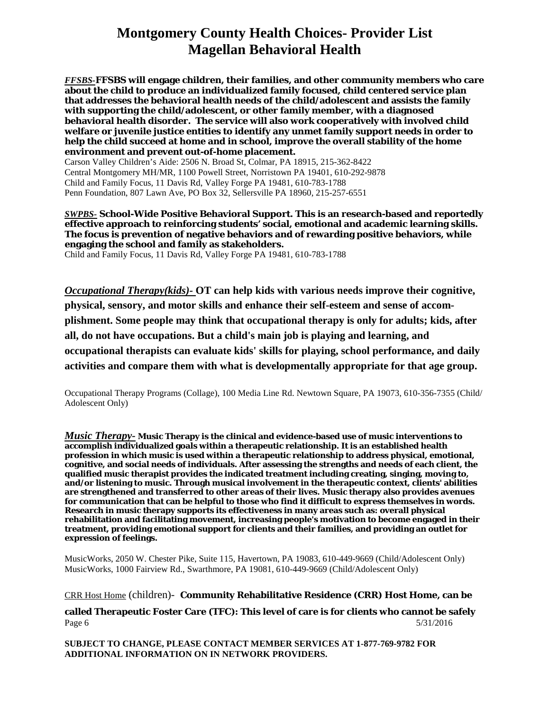<span id="page-5-0"></span>*FFSBS-***FFSBS will engage children, their families, and other community members who care about the child to produce an individualized family focused, child centered service plan that addresses the behavioral health needs of the child/adolescent and assists the family with supporting the child/adolescent, or other family member, with a diagnosed behavioral health disorder. The service will also work cooperatively with involved child welfare or juvenile justice entities to identify any unmet family support needs in order to help the child succeed at home and in school, improve the overall stability of the home environment and prevent out-of-home placement.**

Carson Valley Children's Aide: 2506 N. Broad St, Colmar, PA 18915, 215-362-8422 Central Montgomery MH/MR, 1100 Powell Street, Norristown PA 19401, 610-292-9878 Child and Family Focus, 11 Davis Rd, Valley Forge PA 19481, 610-783-1788 Penn Foundation, 807 Lawn Ave, PO Box 32, Sellersville PA 18960, 215-257-6551

#### <span id="page-5-1"></span>*SWPBS-* **School-Wide Positive Behavioral Support. This is an research-based and reportedly effective approach to reinforcing students' social, emotional and academic learning skills. The focus is prevention of negative behaviors and of rewarding positive behaviors, while engaging the school and family as stakeholders.**

Child and Family Focus, 11 Davis Rd, Valley Forge PA 19481, 610-783-1788

<span id="page-5-2"></span>*Occupational Therapy(kids)-* **OT can help kids with various needs improve their cognitive, physical, sensory, and motor skills and enhance their self-esteem and sense of accomplishment. Some people may think that occupational therapy is only for adults; kids, after all, do not have occupations. But a child's main job is playing and learning, and occupational therapists can evaluate kids' skills for playing, school performance, and daily activities and compare them with what is developmentally appropriate for that age group.**

Occupational Therapy Programs (Collage), 100 Media Line Rd. Newtown Square, PA 19073, 610-356-7355 (Child/ Adolescent Only)

<span id="page-5-3"></span>*Music Therapy-* **Music Therapy is the clinical and evidence-based use of music interventions to accomplish individualized goals within a therapeutic relationship. It is an established health profession in which music is used within a therapeutic relationship to address physical, emotional, cognitive, and social needs of individuals. After assessing the strengths and needs of each client, the qualified music therapist provides the indicated treatment including creating, singing, moving to, and/or listening to music. Through musical involvement in the therapeutic context, clients' abilities are strengthened and transferred to other areas of their lives. Music therapy also provides avenues for communication that can be helpful to those who find it difficult to express themselves in words. Research in music therapy supports its effectiveness in many areas such as: overall physical rehabilitation and facilitating movement, increasing people's motivation to become engaged in their treatment, providing emotional support for clients and their families, and providing an outlet for expression of feelings.**

MusicWorks, 2050 W. Chester Pike, Suite 115, Havertown, PA 19083, 610-449-9669 (Child/Adolescent Only) MusicWorks, 1000 Fairview Rd., Swarthmore, PA 19081, 610-449-9669 (Child/Adolescent Only)

<span id="page-5-4"></span>CRR Host Home (children)- **Community Rehabilitative Residence (CRR) Host Home, can be**

**called Therapeutic Foster Care (TFC): This level of care is for clients who cannot be safely**  Page 6  $5/31/2016$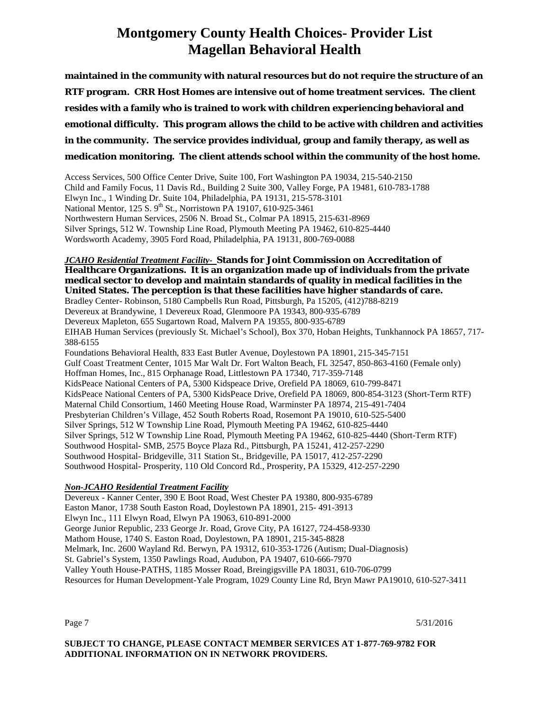**maintained in the community with natural resources but do not require the structure of an RTF program. CRR Host Homes are intensive out of home treatment services. The client resides with a family who is trained to work with children experiencing behavioral and emotional difficulty. This program allows the child to be active with children and activities in the community. The service provides individual, group and family therapy, as well as medication monitoring. The client attends school within the community of the host home.**

Access Services, 500 Office Center Drive, Suite 100, Fort Washington PA 19034, 215-540-2150 Child and Family Focus, 11 Davis Rd., Building 2 Suite 300, Valley Forge, PA 19481, 610-783-1788 Elwyn Inc., 1 Winding Dr. Suite 104, Philadelphia, PA 19131, 215-578-3101 National Mentor, 125 S. 9<sup>th</sup> St., Norristown PA 19107, 610-925-3461 Northwestern Human Services, 2506 N. Broad St., Colmar PA 18915, 215-631-8969 Silver Springs, 512 W. Township Line Road, Plymouth Meeting PA 19462, 610-825-4440 Wordsworth Academy, 3905 Ford Road, Philadelphia, PA 19131, 800-769-0088

#### <span id="page-6-0"></span>*JCAHO Residential Treatment Facility-* **Stands for Joint Commission on Accreditation of Healthcare Organizations. It is an organization made up of individuals from the private medical sector to develop and maintain standards of quality in medical facilities in the United States. The perception is that these facilities have higher standards of care.**

Bradley Center- Robinson, 5180 Campbells Run Road, Pittsburgh, Pa 15205, (412)788-8219 Devereux at Brandywine, 1 Devereux Road, Glenmoore PA 19343, 800-935-6789 Devereux Mapleton, 655 Sugartown Road, Malvern PA 19355, 800-935-6789 EIHAB Human Services (previously St. Michael's School), Box 370, Hoban Heights, Tunkhannock PA 18657, 717- 388-6155 Foundations Behavioral Health, 833 East Butler Avenue, Doylestown PA 18901, 215-345-7151 Gulf Coast Treatment Center, 1015 Mar Walt Dr. Fort Walton Beach, FL 32547, 850-863-4160 (Female only) Hoffman Homes, Inc., 815 Orphanage Road, Littlestown PA 17340, 717-359-7148 KidsPeace National Centers of PA, 5300 Kidspeace Drive, Orefield PA 18069, 610-799-8471 KidsPeace National Centers of PA, 5300 KidsPeace Drive, Orefield PA 18069, 800-854-3123 (Short-Term RTF) Maternal Child Consortium, 1460 Meeting House Road, Warminster PA 18974, 215-491-7404 Presbyterian Children's Village, 452 South Roberts Road, Rosemont PA 19010, 610-525-5400 Silver Springs, 512 W Township Line Road, Plymouth Meeting PA 19462, 610-825-4440 Silver Springs, 512 W Township Line Road, Plymouth Meeting PA 19462, 610-825-4440 (Short-Term RTF) Southwood Hospital- SMB, 2575 Boyce Plaza Rd., Pittsburgh, PA 15241, 412-257-2290 Southwood Hospital- Bridgeville, 311 Station St., Bridgeville, PA 15017, 412-257-2290 Southwood Hospital- Prosperity, 110 Old Concord Rd., Prosperity, PA 15329, 412-257-2290

### <span id="page-6-1"></span>*Non-JCAHO Residential Treatment Facility*

Devereux - Kanner Center, 390 E Boot Road, West Chester PA 19380, 800-935-6789 Easton Manor, 1738 South Easton Road, Doylestown PA 18901, 215- 491-3913 Elwyn Inc., 111 Elwyn Road, Elwyn PA 19063, 610-891-2000 George Junior Republic, 233 George Jr. Road, Grove City, PA 16127, 724-458-9330 Mathom House, 1740 S. Easton Road, Doylestown, PA 18901, 215-345-8828 Melmark, Inc. 2600 Wayland Rd. Berwyn, PA 19312, 610-353-1726 (Autism; Dual-Diagnosis) St. Gabriel's System, 1350 Pawlings Road, Audubon, PA 19407, 610-666-7970 Valley Youth House-PATHS, 1185 Mosser Road, Breingigsville PA 18031, 610-706-0799 Resources for Human Development-Yale Program, 1029 County Line Rd, Bryn Mawr PA19010, 610-527-3411

Page 7  $5/31/2016$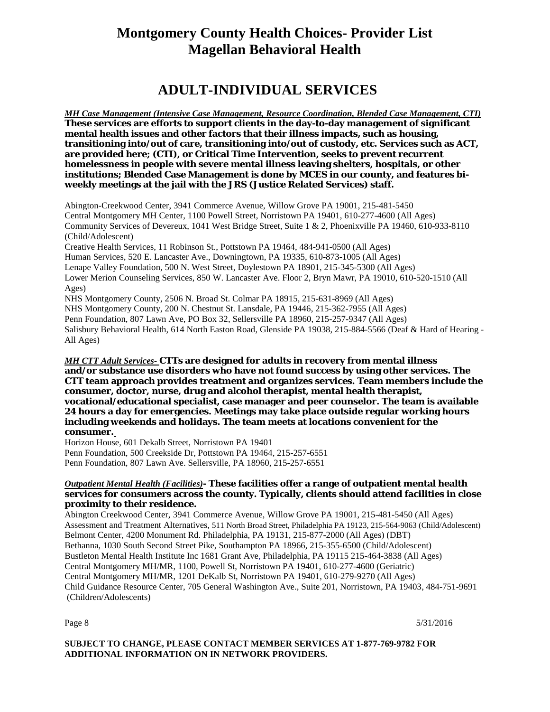### <span id="page-7-0"></span> **ADULT-INDIVIDUAL SERVICES**

<span id="page-7-1"></span>*MH Case Management (Intensive Case Management, Resource Coordination, Blended Case Management, CTI)* **These services are efforts to support clients in the day-to-day management of significant mental health issues and other factors that their illness impacts, such as housing, transitioning into/out of care, transitioning into/out of custody, etc. Services such as ACT, are provided here; (CTI), or Critical Time Intervention, seeks to prevent recurrent homelessness in people with severe mental illness leaving shelters, hospitals, or other institutions; Blended Case Management is done by MCES in our county, and features biweekly meetings at the jail with the JRS (Justice Related Services) staff.** 

Abington-Creekwood Center, 3941 Commerce Avenue, Willow Grove PA 19001, 215-481-5450 Central Montgomery MH Center, 1100 Powell Street, Norristown PA 19401, 610-277-4600 (All Ages) Community Services of Devereux, 1041 West Bridge Street, Suite 1 & 2, Phoenixville PA 19460, 610-933-8110 (Child/Adolescent) Creative Health Services, 11 Robinson St., Pottstown PA 19464, 484-941-0500 (All Ages) Human Services, 520 E. Lancaster Ave., Downingtown, PA 19335, 610-873-1005 (All Ages) Lenape Valley Foundation, 500 N. West Street, Doylestown PA 18901, 215-345-5300 (All Ages) Lower Merion Counseling Services, 850 W. Lancaster Ave. Floor 2, Bryn Mawr, PA 19010, 610-520-1510 (All Ages)

NHS Montgomery County, 2506 N. Broad St. Colmar PA 18915, 215-631-8969 (All Ages) NHS Montgomery County, 200 N. Chestnut St. Lansdale, PA 19446, 215-362-7955 (All Ages) Penn Foundation, 807 Lawn Ave, PO Box 32, Sellersville PA 18960, 215-257-9347 (All Ages) Salisbury Behavioral Health, 614 North Easton Road, Glenside PA 19038, 215-884-5566 (Deaf & Hard of Hearing - All Ages)

#### <span id="page-7-2"></span>*MH CTT Adult Services-* **CTTs are designed for adults in recovery from mental illness and/or substance use disorders who have not found success by using other services. The CTT team approach provides treatment and organizes services. Team members include the consumer, doctor, nurse, drug and alcohol therapist, mental health therapist, vocational/educational specialist, case manager and peer counselor. The team is available 24 hours a day for emergencies. Meetings may take place outside regular working hours including weekends and holidays. The team meets at locations convenient for the consumer.**

Horizon House, 601 Dekalb Street, Norristown PA 19401 Penn Foundation, 500 Creekside Dr, Pottstown PA 19464, 215-257-6551 Penn Foundation, 807 Lawn Ave. Sellersville, PA 18960, 215-257-6551

#### <span id="page-7-3"></span>*Outpatient Mental Health (Facilities)***- These facilities offer a range of outpatient mental health services for consumers across the county. Typically, clients should attend facilities in close proximity to their residence.**

Abington Creekwood Center, 3941 Commerce Avenue, Willow Grove PA 19001, 215-481-5450 (All Ages) Assessment and Treatment Alternatives, 511 North Broad Street, Philadelphia PA 19123, 215-564-9063 (Child/Adolescent) Belmont Center, 4200 Monument Rd. Philadelphia, PA 19131, 215-877-2000 (All Ages) (DBT) Bethanna, 1030 South Second Street Pike, Southampton PA 18966, 215-355-6500 (Child/Adolescent) Bustleton Mental Health Institute Inc 1681 Grant Ave, Philadelphia, PA 19115 215-464-3838 (All Ages) Central Montgomery MH/MR, 1100, Powell St, Norristown PA 19401, 610-277-4600 (Geriatric) Central Montgomery MH/MR, 1201 DeKalb St, Norristown PA 19401, 610-279-9270 (All Ages) Child Guidance Resource Center, 705 General Washington Ave., Suite 201, Norristown, PA 19403, 484-751-9691 (Children/Adolescents)

Page 8 5/31/2016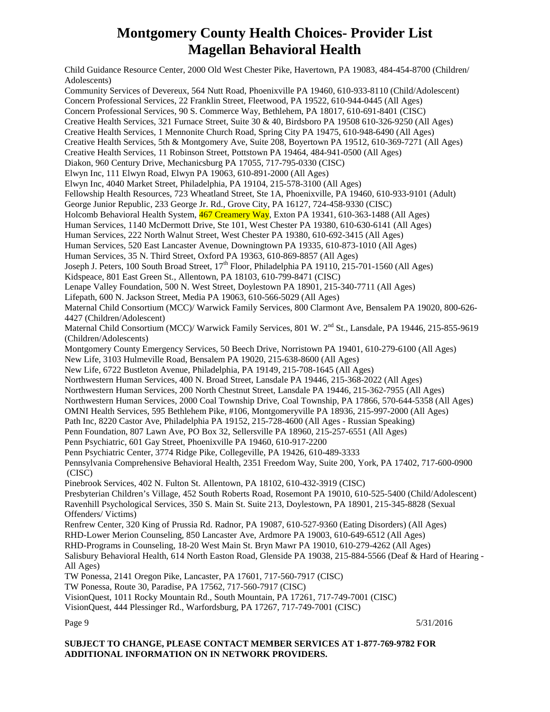Child Guidance Resource Center, 2000 Old West Chester Pike, Havertown, PA 19083, 484-454-8700 (Children/ Adolescents) Community Services of Devereux, 564 Nutt Road, Phoenixville PA 19460, 610-933-8110 (Child/Adolescent) Concern Professional Services, 22 Franklin Street, Fleetwood, PA 19522, 610-944-0445 (All Ages) Concern Professional Services, 90 S. Commerce Way, Bethlehem, PA 18017, 610-691-8401 (CISC) Creative Health Services, 321 Furnace Street, Suite 30 & 40, Birdsboro PA 19508 610-326-9250 (All Ages) Creative Health Services, 1 Mennonite Church Road, Spring City PA 19475, 610-948-6490 (All Ages) Creative Health Services, 5th & Montgomery Ave, Suite 208, Boyertown PA 19512, 610-369-7271 (All Ages) Creative Health Services, 11 Robinson Street, Pottstown PA 19464, 484-941-0500 (All Ages) Diakon, 960 Century Drive, Mechanicsburg PA 17055, 717-795-0330 (CISC) Elwyn Inc, 111 Elwyn Road, Elwyn PA 19063, 610-891-2000 (All Ages) Elwyn Inc, 4040 Market Street, Philadelphia, PA 19104, 215-578-3100 (All Ages) Fellowship Health Resources, 723 Wheatland Street, Ste 1A, Phoenixville, PA 19460, 610-933-9101 (Adult) George Junior Republic, 233 George Jr. Rd., Grove City, PA 16127, 724-458-9330 (CISC) Holcomb Behavioral Health System, 467 Creamery Way, Exton PA 19341, 610-363-1488 (All Ages) Human Services, 1140 McDermott Drive, Ste 101, West Chester PA 19380, 610-630-6141 (All Ages) Human Services, 222 North Walnut Street, West Chester PA 19380, 610-692-3415 (All Ages) Human Services, 520 East Lancaster Avenue, Downingtown PA 19335, 610-873-1010 (All Ages) Human Services, 35 N. Third Street, Oxford PA 19363, 610-869-8857 (All Ages) Joseph J. Peters, 100 South Broad Street, 17<sup>th</sup> Floor, Philadelphia PA 19110, 215-701-1560 (All Ages) Kidspeace, 801 East Green St., Allentown, PA 18103, 610-799-8471 (CISC) Lenape Valley Foundation, 500 N. West Street, Doylestown PA 18901, 215-340-7711 (All Ages) Lifepath, 600 N. Jackson Street, Media PA 19063, 610-566-5029 (All Ages) Maternal Child Consortium (MCC)/ Warwick Family Services, 800 Clarmont Ave, Bensalem PA 19020, 800-626- 4427 (Children/Adolescent) Maternal Child Consortium (MCC)/ Warwick Family Services, 801 W. 2<sup>nd</sup> St., Lansdale, PA 19446, 215-855-9619 (Children/Adolescents) Montgomery County Emergency Services, 50 Beech Drive, Norristown PA 19401, 610-279-6100 (All Ages) New Life, 3103 Hulmeville Road, Bensalem PA 19020, 215-638-8600 (All Ages) New Life, 6722 Bustleton Avenue, Philadelphia, PA 19149, 215-708-1645 (All Ages) Northwestern Human Services, 400 N. Broad Street, Lansdale PA 19446, 215-368-2022 (All Ages) Northwestern Human Services, 200 North Chestnut Street, Lansdale PA 19446, 215-362-7955 (All Ages) Northwestern Human Services, 2000 Coal Township Drive, Coal Township, PA 17866, 570-644-5358 (All Ages) OMNI Health Services, 595 Bethlehem Pike, #106, Montgomeryville PA 18936, 215-997-2000 (All Ages) Path Inc, 8220 Castor Ave, Philadelphia PA 19152, 215-728-4600 (All Ages - Russian Speaking) Penn Foundation, 807 Lawn Ave, PO Box 32, Sellersville PA 18960, 215-257-6551 (All Ages) Penn Psychiatric, 601 Gay Street, Phoenixville PA 19460, 610-917-2200 Penn Psychiatric Center, 3774 Ridge Pike, Collegeville, PA 19426, 610-489-3333 Pennsylvania Comprehensive Behavioral Health, 2351 Freedom Way, Suite 200, York, PA 17402, 717-600-0900 (CISC) Pinebrook Services, 402 N. Fulton St. Allentown, PA 18102, 610-432-3919 (CISC) Presbyterian Children's Village, 452 South Roberts Road, Rosemont PA 19010, 610-525-5400 (Child/Adolescent) Ravenhill Psychological Services, 350 S. Main St. Suite 213, Doylestown, PA 18901, 215-345-8828 (Sexual Offenders/ Victims) Renfrew Center, 320 King of Prussia Rd. Radnor, PA 19087, 610-527-9360 (Eating Disorders) (All Ages) RHD-Lower Merion Counseling, 850 Lancaster Ave, Ardmore PA 19003, 610-649-6512 (All Ages) RHD-Programs in Counseling, 18-20 West Main St. Bryn Mawr PA 19010, 610-279-4262 (All Ages) Salisbury Behavioral Health, 614 North Easton Road, Glenside PA 19038, 215-884-5566 (Deaf & Hard of Hearing - All Ages) TW Ponessa, 2141 Oregon Pike, Lancaster, PA 17601, 717-560-7917 (CISC) TW Ponessa, Route 30, Paradise, PA 17562, 717-560-7917 (CISC) VisionQuest, 1011 Rocky Mountain Rd., South Mountain, PA 17261, 717-749-7001 (CISC) VisionQuest, 444 Plessinger Rd., Warfordsburg, PA 17267, 717-749-7001 (CISC)

Page 9 5/31/2016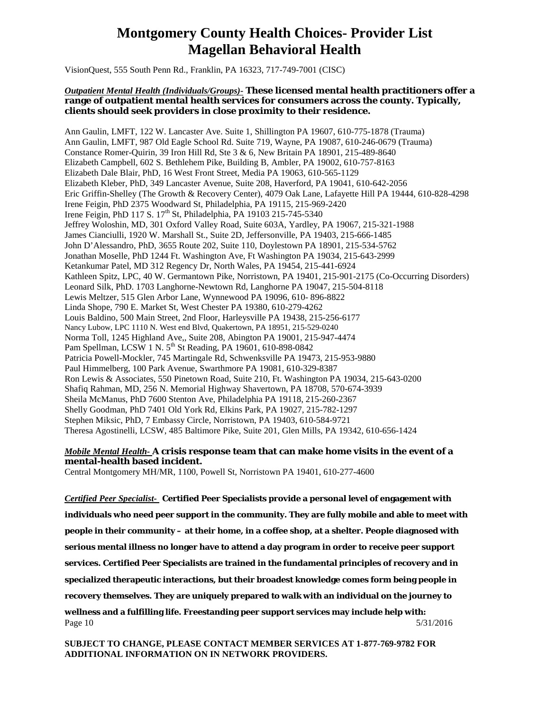VisionQuest, 555 South Penn Rd., Franklin, PA 16323, 717-749-7001 (CISC)

#### <span id="page-9-0"></span>*Outpatient Mental Health (Individuals/Groups)-* **These licensed mental health practitioners offer a range of outpatient mental health services for consumers across the county. Typically, clients should seek providers in close proximity to their residence.**

Ann Gaulin, LMFT, 122 W. Lancaster Ave. Suite 1, Shillington PA 19607, 610-775-1878 (Trauma) Ann Gaulin, LMFT, 987 Old Eagle School Rd. Suite 719, Wayne, PA 19087, 610-246-0679 (Trauma) Constance Romer-Quirin, 39 Iron Hill Rd, Ste 3 & 6, New Britain PA 18901, 215-489-8640 Elizabeth Campbell, 602 S. Bethlehem Pike, Building B, Ambler, PA 19002, 610-757-8163 Elizabeth Dale Blair, PhD, 16 West Front Street, Media PA 19063, 610-565-1129 Elizabeth Kleber, PhD, 349 Lancaster Avenue, Suite 208, Haverford, PA 19041, 610-642-2056 Eric Griffin-Shelley (The Growth & Recovery Center), 4079 Oak Lane, Lafayette Hill PA 19444, 610-828-4298 Irene Feigin, PhD 2375 Woodward St, Philadelphia, PA 19115, 215-969-2420 Irene Feigin, PhD 117 S. 17<sup>th</sup> St, Philadelphia, PA 19103 215-745-5340 Jeffrey Woloshin, MD, 301 Oxford Valley Road, Suite 603A, Yardley, PA 19067, 215-321-1988 James Cianciulli, 1920 W. Marshall St., Suite 2D, Jeffersonville, PA 19403, 215-666-1485 John D'Alessandro, PhD, 3655 Route 202, Suite 110, Doylestown PA 18901, 215-534-5762 Jonathan Moselle, PhD 1244 Ft. Washington Ave, Ft Washington PA 19034, 215-643-2999 Ketankumar Patel, MD 312 Regency Dr, North Wales, PA 19454, 215-441-6924 Kathleen Spitz, LPC, 40 W. Germantown Pike, Norristown, PA 19401, 215-901-2175 (Co-Occurring Disorders) Leonard Silk, PhD. 1703 Langhorne-Newtown Rd, Langhorne PA 19047, 215-504-8118 Lewis Meltzer, 515 Glen Arbor Lane, Wynnewood PA 19096, 610- 896-8822 Linda Shope, 790 E. Market St, West Chester PA 19380, 610-279-4262 Louis Baldino, 500 Main Street, 2nd Floor, Harleysville PA 19438, 215-256-6177 Nancy Lubow, LPC 1110 N. West end Blvd, Quakertown, PA 18951, 215-529-0240 Norma Toll, 1245 Highland Ave,, Suite 208, Abington PA 19001, 215-947-4474 Pam Spellman, LCSW 1 N. 5<sup>th</sup> St Reading, PA 19601, 610-898-0842 Patricia Powell-Mockler, 745 Martingale Rd, Schwenksville PA 19473, 215-953-9880 Paul Himmelberg, 100 Park Avenue, Swarthmore PA 19081, 610-329-8387 Ron Lewis & Associates, 550 Pinetown Road, Suite 210, Ft. Washington PA 19034, 215-643-0200 Shafiq Rahman, MD, 256 N. Memorial Highway Shavertown, PA 18708, 570-674-3939 Sheila McManus, PhD 7600 Stenton Ave, Philadelphia PA 19118, 215-260-2367 Shelly Goodman, PhD 7401 Old York Rd, Elkins Park, PA 19027, 215-782-1297 Stephen Miksic, PhD, 7 Embassy Circle, Norristown, PA 19403, 610-584-9721 Theresa Agostinelli, LCSW, 485 Baltimore Pike, Suite 201, Glen Mills, PA 19342, 610-656-1424

#### <span id="page-9-1"></span>*Mobile Mental Health-* **A crisis response team that can make home visits in the event of a mental-health based incident.**

Central Montgomery MH/MR, 1100, Powell St, Norristown PA 19401, 610-277-4600

<span id="page-9-2"></span>*Certified Peer Specialist-* **Certified Peer Specialists provide a personal level of engagement with individuals who need peer support in the community. They are fully mobile and able to meet with people in their community – at their home, in a coffee shop, at a shelter. People diagnosed with serious mental illness no longer have to attend a day program in order to receive peer support services. Certified Peer Specialists are trained in the fundamental principles of recovery and in specialized therapeutic interactions, but their broadest knowledge comes form being people in recovery themselves. They are uniquely prepared to walk with an individual on the journey to wellness and a fulfilling life. Freestanding peer support services may include help with:** Page 10  $5/31/2016$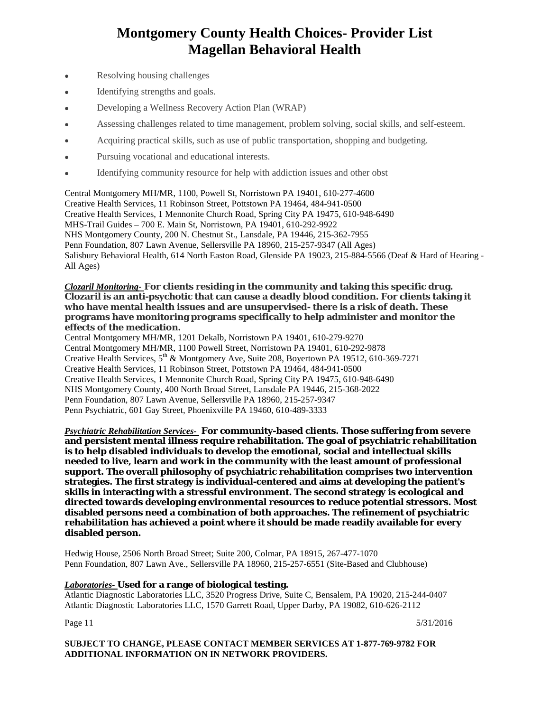- Resolving housing challenges
- Identifying strengths and goals.
- Developing a Wellness Recovery Action Plan (WRAP)
- Assessing challenges related to time management, problem solving, social skills, and self-esteem.
- Acquiring practical skills, such as use of public transportation, shopping and budgeting.
- Pursuing vocational and educational interests.
- Identifying community resource for help with addiction issues and other obst

Central Montgomery MH/MR, 1100, Powell St, Norristown PA 19401, 610-277-4600 Creative Health Services, 11 Robinson Street, Pottstown PA 19464, 484-941-0500 Creative Health Services, 1 Mennonite Church Road, Spring City PA 19475, 610-948-6490 MHS-Trail Guides – 700 E. Main St, Norristown, PA 19401, 610-292-9922 NHS Montgomery County, 200 N. Chestnut St., Lansdale, PA 19446, 215-362-7955 Penn Foundation, 807 Lawn Avenue, Sellersville PA 18960, 215-257-9347 (All Ages) Salisbury Behavioral Health, 614 North Easton Road, Glenside PA 19023, 215-884-5566 (Deaf & Hard of Hearing - All Ages)

#### <span id="page-10-0"></span>*Clozaril Monitoring-* **For clients residing in the community and taking this specific drug. Clozaril is an anti-psychotic that can cause a deadly blood condition. For clients taking it who have mental health issues and are unsupervised- there is a risk of death. These programs have monitoring programs specifically to help administer and monitor the effects of the medication.**

Central Montgomery MH/MR, 1201 Dekalb, Norristown PA 19401, 610-279-9270 Central Montgomery MH/MR, 1100 Powell Street, Norristown PA 19401, 610-292-9878 Creative Health Services, 5th & Montgomery Ave, Suite 208, Boyertown PA 19512, 610-369-7271 Creative Health Services, 11 Robinson Street, Pottstown PA 19464, 484-941-0500 Creative Health Services, 1 Mennonite Church Road, Spring City PA 19475, 610-948-6490 NHS Montgomery County, 400 North Broad Street, Lansdale PA 19446, 215-368-2022 Penn Foundation, 807 Lawn Avenue, Sellersville PA 18960, 215-257-9347 Penn Psychiatric, 601 Gay Street, Phoenixville PA 19460, 610-489-3333

<span id="page-10-1"></span>*Psychiatric Rehabilitation Services-* **For community-based clients. Those suffering from severe and persistent mental illness require rehabilitation. The goal of psychiatric rehabilitation is to help disabled individuals to develop the emotional, social and intellectual skills needed to live, learn and work in the community with the least amount of professional support. The overall philosophy of psychiatric rehabilitation comprises two intervention strategies. The first strategy is individual-centered and aims at developing the patient's skills in interacting with a stressful environment. The second strategy is ecological and directed towards developing environmental resources to reduce potential stressors. Most disabled persons need a combination of both approaches. The refinement of psychiatric rehabilitation has achieved a point where it should be made readily available for every disabled person.**

Hedwig House, 2506 North Broad Street; Suite 200, Colmar, PA 18915, 267-477-1070 Penn Foundation, 807 Lawn Ave., Sellersville PA 18960, 215-257-6551 (Site-Based and Clubhouse)

#### <span id="page-10-2"></span>*Laboratories-* **Used for a range of biological testing.**

Atlantic Diagnostic Laboratories LLC, 3520 Progress Drive, Suite C, Bensalem, PA 19020, 215-244-0407 Atlantic Diagnostic Laboratories LLC, 1570 Garrett Road, Upper Darby, PA 19082, 610-626-2112

Page 11  $5/31/2016$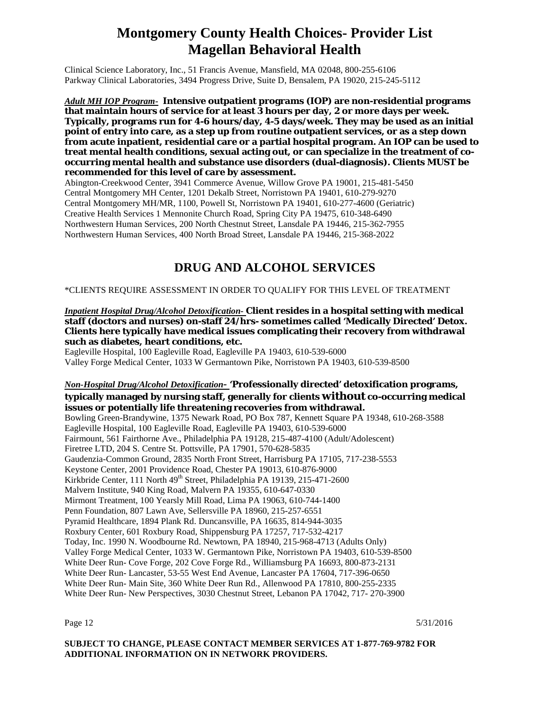Clinical Science Laboratory, Inc., 51 Francis Avenue, Mansfield, MA 02048, 800-255-6106 Parkway Clinical Laboratories, 3494 Progress Drive, Suite D, Bensalem, PA 19020, 215-245-5112

<span id="page-11-0"></span>*Adult MH IOP Program-* **Intensive outpatient programs (IOP) are non-residential programs that maintain hours of service for at least 3 hours per day, 2 or more days per week. Typically, programs run for 4-6 hours/day, 4-5 days/week. They may be used as an initial point of entry into care, as a step up from routine outpatient services, or as a step down from acute inpatient, residential care or a partial hospital program. An IOP can be used to treat mental health conditions, sexual acting out, or can specialize in the treatment of cooccurring mental health and substance use disorders (dual-diagnosis). Clients MUST be recommended for this level of care by assessment.** 

Abington-Creekwood Center, 3941 Commerce Avenue, Willow Grove PA 19001, 215-481-5450 Central Montgomery MH Center, 1201 Dekalb Street, Norristown PA 19401, 610-279-9270 Central Montgomery MH/MR, 1100, Powell St, Norristown PA 19401, 610-277-4600 (Geriatric) Creative Health Services 1 Mennonite Church Road, Spring City PA 19475, 610-348-6490 Northwestern Human Services, 200 North Chestnut Street, Lansdale PA 19446, 215-362-7955 Northwestern Human Services, 400 North Broad Street, Lansdale PA 19446, 215-368-2022

### **DRUG AND ALCOHOL SERVICES**

<span id="page-11-1"></span>\*CLIENTS REQUIRE ASSESSMENT IN ORDER TO QUALIFY FOR THIS LEVEL OF TREATMENT

<span id="page-11-2"></span>*Inpatient Hospital Drug/Alcohol Detoxification-* **Client resides in a hospital setting with medical staff (doctors and nurses) on-staff 24/hrs- sometimes called 'Medically Directed' Detox. Clients here typically have medical issues complicating their recovery from withdrawal such as diabetes, heart conditions, etc.** 

Eagleville Hospital, 100 Eagleville Road, Eagleville PA 19403, 610-539-6000 Valley Forge Medical Center, 1033 W Germantown Pike, Norristown PA 19403, 610-539-8500

#### <span id="page-11-3"></span>*Non-Hospital Drug/Alcohol Detoxification-* **'Professionally directed' detoxification programs, typically managed by nursing staff, generally for clients without co-occurring medical issues or potentially life threatening recoveries from withdrawal.**

Bowling Green-Brandywine, 1375 Newark Road, PO Box 787, Kennett Square PA 19348, 610-268-3588 Eagleville Hospital, 100 Eagleville Road, Eagleville PA 19403, 610-539-6000 Fairmount, 561 Fairthorne Ave., Philadelphia PA 19128, 215-487-4100 (Adult/Adolescent) Firetree LTD, 204 S. Centre St. Pottsville, PA 17901, 570-628-5835 Gaudenzia-Common Ground, 2835 North Front Street, Harrisburg PA 17105, 717-238-5553 Keystone Center, 2001 Providence Road, Chester PA 19013, 610-876-9000 Kirkbride Center, 111 North 49<sup>th</sup> Street, Philadelphia PA 19139, 215-471-2600 Malvern Institute, 940 King Road, Malvern PA 19355, 610-647-0330 Mirmont Treatment, 100 Yearsly Mill Road, Lima PA 19063, 610-744-1400 Penn Foundation, 807 Lawn Ave, Sellersville PA 18960, 215-257-6551 Pyramid Healthcare, 1894 Plank Rd. Duncansville, PA 16635, 814-944-3035 Roxbury Center, 601 Roxbury Road, Shippensburg PA 17257, 717-532-4217 Today, Inc. 1990 N. Woodbourne Rd. Newtown, PA 18940, 215-968-4713 (Adults Only) Valley Forge Medical Center, 1033 W. Germantown Pike, Norristown PA 19403, 610-539-8500 White Deer Run- Cove Forge, 202 Cove Forge Rd., Williamsburg PA 16693, 800-873-2131 White Deer Run- Lancaster, 53-55 West End Avenue, Lancaster PA 17604, 717-396-0650 White Deer Run- Main Site, 360 White Deer Run Rd., Allenwood PA 17810, 800-255-2335 White Deer Run- New Perspectives, 3030 Chestnut Street, Lebanon PA 17042, 717- 270-3900

Page 12  $5/31/2016$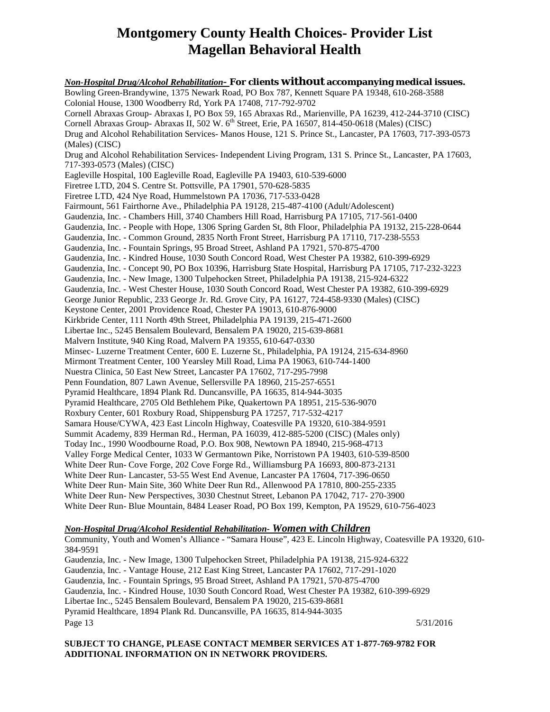<span id="page-12-0"></span>*Non-Hospital Drug/Alcohol Rehabilitation-* **For clients without accompanying medical issues.**  Bowling Green-Brandywine, 1375 Newark Road, PO Box 787, Kennett Square PA 19348, 610-268-3588 Colonial House, 1300 Woodberry Rd, York PA 17408, 717-792-9702 Cornell Abraxas Group- Abraxas I, PO Box 59, 165 Abraxas Rd., Marienville, PA 16239, 412-244-3710 (CISC) Cornell Abraxas Group- Abraxas II, 502 W. 6<sup>th</sup> Street, Erie, PA 16507, 814-450-0618 (Males) (CISC) Drug and Alcohol Rehabilitation Services- Manos House, 121 S. Prince St., Lancaster, PA 17603, 717-393-0573 (Males) (CISC) Drug and Alcohol Rehabilitation Services- Independent Living Program, 131 S. Prince St., Lancaster, PA 17603, 717-393-0573 (Males) (CISC) Eagleville Hospital, 100 Eagleville Road, Eagleville PA 19403, 610-539-6000 Firetree LTD, 204 S. Centre St. Pottsville, PA 17901, 570-628-5835 Firetree LTD, 424 Nye Road, Hummelstown PA 17036, 717-533-0428 Fairmount, 561 Fairthorne Ave., Philadelphia PA 19128, 215-487-4100 (Adult/Adolescent) Gaudenzia, Inc. - Chambers Hill, 3740 Chambers Hill Road, Harrisburg PA 17105, 717-561-0400 Gaudenzia, Inc. - People with Hope, 1306 Spring Garden St, 8th Floor, Philadelphia PA 19132, 215-228-0644 Gaudenzia, Inc. - Common Ground, 2835 North Front Street, Harrisburg PA 17110, 717-238-5553 Gaudenzia, Inc. - Fountain Springs, 95 Broad Street, Ashland PA 17921, 570-875-4700 Gaudenzia, Inc. - Kindred House, 1030 South Concord Road, West Chester PA 19382, 610-399-6929 Gaudenzia, Inc. - Concept 90, PO Box 10396, Harrisburg State Hospital, Harrisburg PA 17105, 717-232-3223 Gaudenzia, Inc. - New Image, 1300 Tulpehocken Street, Philadelphia PA 19138, 215-924-6322 Gaudenzia, Inc. - West Chester House, 1030 South Concord Road, West Chester PA 19382, 610-399-6929 George Junior Republic, 233 George Jr. Rd. Grove City, PA 16127, 724-458-9330 (Males) (CISC) Keystone Center, 2001 Providence Road, Chester PA 19013, 610-876-9000 Kirkbride Center, 111 North 49th Street, Philadelphia PA 19139, 215-471-2600 Libertae Inc., 5245 Bensalem Boulevard, Bensalem PA 19020, 215-639-8681 Malvern Institute, 940 King Road, Malvern PA 19355, 610-647-0330 Minsec- Luzerne Treatment Center, 600 E. Luzerne St., Philadelphia, PA 19124, 215-634-8960 Mirmont Treatment Center, 100 Yearsley Mill Road, Lima PA 19063, 610-744-1400 Nuestra Clinica, 50 East New Street, Lancaster PA 17602, 717-295-7998 Penn Foundation, 807 Lawn Avenue, Sellersville PA 18960, 215-257-6551 Pyramid Healthcare, 1894 Plank Rd. Duncansville, PA 16635, 814-944-3035 Pyramid Healthcare, 2705 Old Bethlehem Pike, Quakertown PA 18951, 215-536-9070 Roxbury Center, 601 Roxbury Road, Shippensburg PA 17257, 717-532-4217 Samara House/CYWA, 423 East Lincoln Highway, Coatesville PA 19320, 610-384-9591 Summit Academy, 839 Herman Rd., Herman, PA 16039, 412-885-5200 (CISC) (Males only) Today Inc., 1990 Woodbourne Road, P.O. Box 908, Newtown PA 18940, 215-968-4713 Valley Forge Medical Center, 1033 W Germantown Pike, Norristown PA 19403, 610-539-8500 White Deer Run- Cove Forge, 202 Cove Forge Rd., Williamsburg PA 16693, 800-873-2131 White Deer Run- Lancaster, 53-55 West End Avenue, Lancaster PA 17604, 717-396-0650 White Deer Run- Main Site, 360 White Deer Run Rd., Allenwood PA 17810, 800-255-2335 White Deer Run- New Perspectives, 3030 Chestnut Street, Lebanon PA 17042, 717- 270-3900 White Deer Run- Blue Mountain, 8484 Leaser Road, PO Box 199, Kempton, PA 19529, 610-756-4023

#### <span id="page-12-1"></span>*Non-Hospital Drug/Alcohol Residential Rehabilitation- Women with Children*

Community, Youth and Women's Alliance - "Samara House", 423 E. Lincoln Highway, Coatesville PA 19320, 610- 384-9591 Gaudenzia, Inc. - New Image, 1300 Tulpehocken Street, Philadelphia PA 19138, 215-924-6322 Gaudenzia, Inc. - Vantage House, 212 East King Street, Lancaster PA 17602, 717-291-1020 Gaudenzia, Inc. - Fountain Springs, 95 Broad Street, Ashland PA 17921, 570-875-4700 Gaudenzia, Inc. - Kindred House, 1030 South Concord Road, West Chester PA 19382, 610-399-6929 Libertae Inc., 5245 Bensalem Boulevard, Bensalem PA 19020, 215-639-8681 Pyramid Healthcare, 1894 Plank Rd. Duncansville, PA 16635, 814-944-3035 Page 13  $5/31/2016$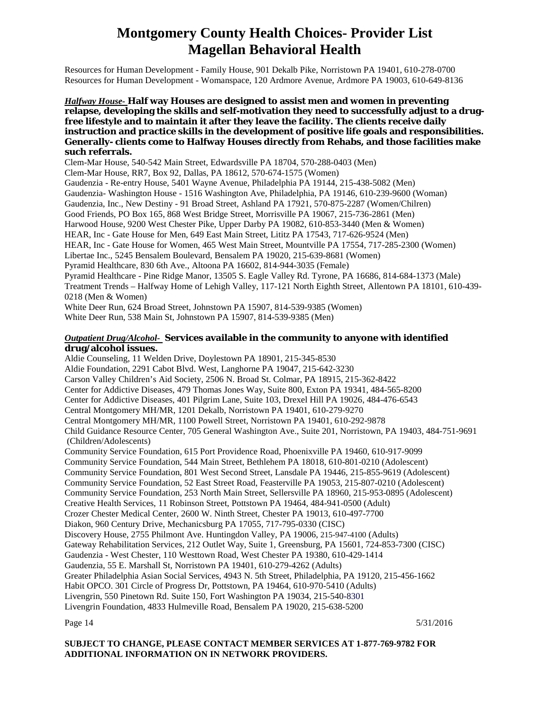Resources for Human Development - Family House, 901 Dekalb Pike, Norristown PA 19401, 610-278-0700 Resources for Human Development - Womanspace, 120 Ardmore Avenue, Ardmore PA 19003, 610-649-8136

#### <span id="page-13-0"></span>*Halfway House-* **Half way Houses are designed to assist men and women in preventing relapse, developing the skills and self-motivation they need to successfully adjust to a drugfree lifestyle and to maintain it after they leave the facility. The clients receive daily instruction and practice skills in the development of positive life goals and responsibilities. Generally- clients come to Halfway Houses directly from Rehabs, and those facilities make such referrals.**

Clem-Mar House, 540-542 Main Street, Edwardsville PA 18704, 570-288-0403 (Men) Clem-Mar House, RR7, Box 92, Dallas, PA 18612, 570-674-1575 (Women) Gaudenzia - Re-entry House, 5401 Wayne Avenue, Philadelphia PA 19144, 215-438-5082 (Men) Gaudenzia- Washington House - 1516 Washington Ave, Philadelphia, PA 19146, 610-239-9600 (Woman) Gaudenzia, Inc., New Destiny - 91 Broad Street, Ashland PA 17921, 570-875-2287 (Women/Chilren) Good Friends, PO Box 165, 868 West Bridge Street, Morrisville PA 19067, 215-736-2861 (Men) Harwood House, 9200 West Chester Pike, Upper Darby PA 19082, 610-853-3440 (Men & Women) HEAR, Inc - Gate House for Men, 649 East Main Street, Lititz PA 17543, 717-626-9524 (Men) HEAR, Inc - Gate House for Women, 465 West Main Street, Mountville PA 17554, 717-285-2300 (Women) Libertae Inc., 5245 Bensalem Boulevard, Bensalem PA 19020, 215-639-8681 (Women) Pyramid Healthcare, 830 6th Ave., Altoona PA 16602, 814-944-3035 (Female) Pyramid Healthcare - Pine Ridge Manor, 13505 S. Eagle Valley Rd. Tyrone, PA 16686, 814-684-1373 (Male) Treatment Trends – Halfway Home of Lehigh Valley, 117-121 North Eighth Street, Allentown PA 18101, 610-439- 0218 (Men & Women) White Deer Run, 624 Broad Street, Johnstown PA 15907, 814-539-9385 (Women)

White Deer Run, 538 Main St, Johnstown PA 15907, 814-539-9385 (Men)

#### <span id="page-13-1"></span>*Outpatient Drug/Alcohol-* **Services available in the community to anyone with identified drug/alcohol issues.**

Aldie Counseling, 11 Welden Drive, Doylestown PA 18901, 215-345-8530 Aldie Foundation, 2291 Cabot Blvd. West, Langhorne PA 19047, 215-642-3230 Carson Valley Children's Aid Society, 2506 N. Broad St. Colmar, PA 18915, 215-362-8422 Center for Addictive Diseases, 479 Thomas Jones Way, Suite 800, Exton PA 19341, 484-565-8200 Center for Addictive Diseases, 401 Pilgrim Lane, Suite 103, Drexel Hill PA 19026, 484-476-6543 Central Montgomery MH/MR, 1201 Dekalb, Norristown PA 19401, 610-279-9270 Central Montgomery MH/MR, 1100 Powell Street, Norristown PA 19401, 610-292-9878 Child Guidance Resource Center, 705 General Washington Ave., Suite 201, Norristown, PA 19403, 484-751-9691 (Children/Adolescents) Community Service Foundation, 615 Port Providence Road, Phoenixville PA 19460, 610-917-9099 Community Service Foundation, 544 Main Street, Bethlehem PA 18018, 610-801-0210 (Adolescent) Community Service Foundation, 801 West Second Street, Lansdale PA 19446, 215-855-9619 (Adolescent) Community Service Foundation, 52 East Street Road, Feasterville PA 19053, 215-807-0210 (Adolescent) Community Service Foundation, 253 North Main Street, Sellersville PA 18960, 215-953-0895 (Adolescent) Creative Health Services, 11 Robinson Street, Pottstown PA 19464, 484-941-0500 (Adult) Crozer Chester Medical Center, 2600 W. Ninth Street, Chester PA 19013, 610-497-7700 Diakon, 960 Century Drive, Mechanicsburg PA 17055, 717-795-0330 (CISC) Discovery House, 2755 Philmont Ave. Huntingdon Valley, PA 19006, 215-947-4100 (Adults) Gateway Rehabilitation Services, 212 Outlet Way, Suite 1, Greensburg, PA 15601, 724-853-7300 (CISC) Gaudenzia - West Chester, 110 Westtown Road, West Chester PA 19380, 610-429-1414 Gaudenzia, 55 E. Marshall St, Norristown PA 19401, 610-279-4262 (Adults) Greater Philadelphia Asian Social Services, 4943 N. 5th Street, Philadelphia, PA 19120, 215-456-1662 Habit OPCO. 301 Circle of Progress Dr, Pottstown, PA 19464, 610-970-5410 (Adults) Livengrin, 550 Pinetown Rd. Suite 150, Fort Washington PA 19034, 215-540-8301 Livengrin Foundation, 4833 Hulmeville Road, Bensalem PA 19020, 215-638-5200

Page 14  $5/31/2016$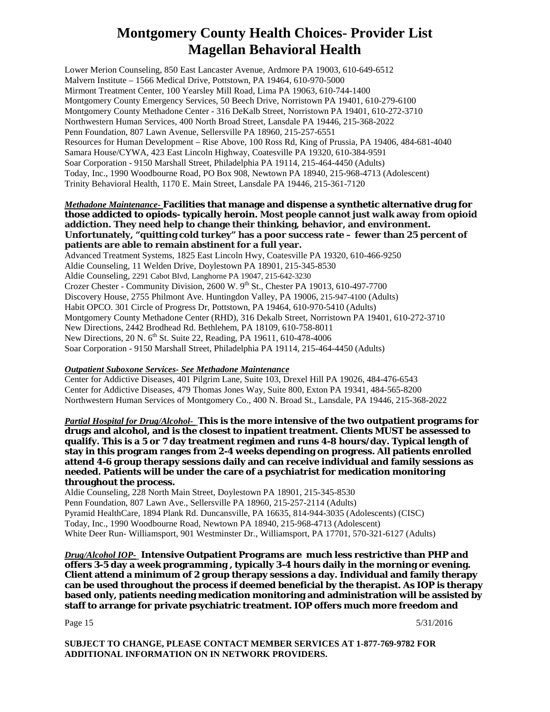Lower Merion Counseling, 850 East Lancaster Avenue, Ardmore PA 19003, 610-649-6512 Malvern Institute – 1566 Medical Drive, Pottstown, PA 19464, 610-970-5000 Mirmont Treatment Center, 100 Yearsley Mill Road, Lima PA 19063, 610-744-1400 Montgomery County Emergency Services, 50 Beech Drive, Norristown PA 19401, 610-279-6100 Montgomery County Methadone Center - 316 DeKalb Street, Norristown PA 19401, 610-272-3710 Northwestern Human Services, 400 North Broad Street, Lansdale PA 19446, 215-368-2022 Penn Foundation, 807 Lawn Avenue, Sellersville PA 18960, 215-257-6551 Resources for Human Development – Rise Above, 100 Ross Rd, King of Prussia, PA 19406, 484-681-4040 Samara House/CYWA, 423 East Lincoln Highway, Coatesville PA 19320, 610-384-9591 Soar Corporation - 9150 Marshall Street, Philadelphia PA 19114, 215-464-4450 (Adults) Today, Inc., 1990 Woodbourne Road, PO Box 908, Newtown PA 18940, 215-968-4713 (Adolescent) Trinity Behavioral Health, 1170 E. Main Street, Lansdale PA 19446, 215-361-7120

#### <span id="page-14-0"></span>*Methadone Maintenance-* **Facilities that manage and dispense a synthetic alternative drug for those addicted to opiods- typically heroin. Most people cannot just walk away from opioid addiction. They need help to change their thinking, behavior, and environment. Unfortunately, "quitting cold turkey" has a poor success rate – fewer than 25 percent of patients are able to remain abstinent for a full year.**

Advanced Treatment Systems, 1825 East Lincoln Hwy, Coatesville PA 19320, 610-466-9250 Aldie Counseling, 11 Welden Drive, Doylestown PA 18901, 215-345-8530 Aldie Counseling, 2291 Cabot Blvd, Langhorne PA 19047, 215-642-3230 Crozer Chester - Community Division, 2600 W.  $9<sup>th</sup>$  St., Chester PA 19013, 610-497-7700 Discovery House, 2755 Philmont Ave. Huntingdon Valley, PA 19006, 215-947-4100 (Adults) Habit OPCO. 301 Circle of Progress Dr, Pottstown, PA 19464, 610-970-5410 (Adults) Montgomery County Methadone Center (RHD), 316 Dekalb Street, Norristown PA 19401, 610-272-3710 New Directions, 2442 Brodhead Rd. Bethlehem, PA 18109, 610-758-8011 New Directions, 20 N. 6<sup>th</sup> St. Suite 22, Reading, PA 19611, 610-478-4006 Soar Corporation - 9150 Marshall Street, Philadelphia PA 19114, 215-464-4450 (Adults)

#### <span id="page-14-1"></span>*Outpatient Suboxone Services- See Methadone Maintenance*

Center for Addictive Diseases, 401 Pilgrim Lane, Suite 103, Drexel Hill PA 19026, 484-476-6543 Center for Addictive Diseases, 479 Thomas Jones Way, Suite 800, Exton PA 19341, 484-565-8200 Northwestern Human Services of Montgomery Co., 400 N. Broad St., Lansdale, PA 19446, 215-368-2022

<span id="page-14-2"></span>*Partial Hospital for Drug/Alcohol-* **This is the more intensive of the two outpatient programs for drugs and alcohol, and is the closest to inpatient treatment. Clients MUST be assessed to qualify. This is a 5 or 7 day treatment regimen and runs 4-8 hours/day. Typical length of stay in this program ranges from 2-4 weeks depending on progress. All patients enrolled attend 4-6 group therapy sessions daily and can receive individual and family sessions as needed. Patients will be under the care of a psychiatrist for medication monitoring throughout the process.**

Aldie Counseling, 228 North Main Street, Doylestown PA 18901, 215-345-8530 Penn Foundation, 807 Lawn Ave., Sellersville PA 18960, 215-257-2114 (Adults) Pyramid HealthCare, 1894 Plank Rd. Duncansville, PA 16635, 814-944-3035 (Adolescents) (CISC) Today, Inc., 1990 Woodbourne Road, Newtown PA 18940, 215-968-4713 (Adolescent) White Deer Run- Williamsport, 901 Westminster Dr., Williamsport, PA 17701, 570-321-6127 (Adults)

<span id="page-14-3"></span>*Drug/Alcohol IOP-* **Intensive Outpatient Programs are much less restrictive than PHP and offers 3-5 day a week programming , typically 3-4 hours daily in the morning or evening. Client attend a minimum of 2 group therapy sessions a day. Individual and family therapy can be used throughout the process if deemed beneficial by the therapist. As IOP is therapy based only, patients needing medication monitoring and administration will be assisted by staff to arrange for private psychiatric treatment. IOP offers much more freedom and** 

Page 15  $5/31/2016$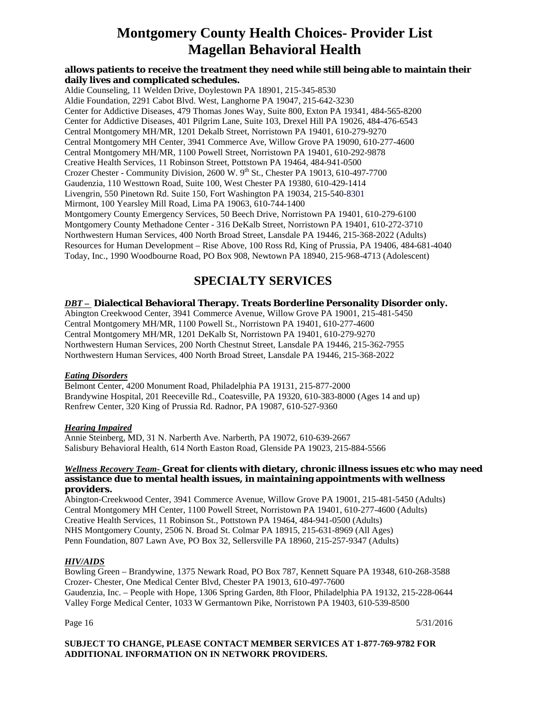#### **allows patients to receive the treatment they need while still being able to maintain their daily lives and complicated schedules.**

Aldie Counseling, 11 Welden Drive, Doylestown PA 18901, 215-345-8530 Aldie Foundation, 2291 Cabot Blvd. West, Langhorne PA 19047, 215-642-3230 Center for Addictive Diseases, 479 Thomas Jones Way, Suite 800, Exton PA 19341, 484-565-8200 Center for Addictive Diseases, 401 Pilgrim Lane, Suite 103, Drexel Hill PA 19026, 484-476-6543 Central Montgomery MH/MR, 1201 Dekalb Street, Norristown PA 19401, 610-279-9270 Central Montgomery MH Center, 3941 Commerce Ave, Willow Grove PA 19090, 610-277-4600 Central Montgomery MH/MR, 1100 Powell Street, Norristown PA 19401, 610-292-9878 Creative Health Services, 11 Robinson Street, Pottstown PA 19464, 484-941-0500 Crozer Chester - Community Division, 2600 W.  $9<sup>th</sup>$  St., Chester PA 19013, 610-497-7700 Gaudenzia, 110 Westtown Road, Suite 100, West Chester PA 19380, 610-429-1414 Livengrin, 550 Pinetown Rd. Suite 150, Fort Washington PA 19034, 215-540-8301 Mirmont, 100 Yearsley Mill Road, Lima PA 19063, 610-744-1400 Montgomery County Emergency Services, 50 Beech Drive, Norristown PA 19401, 610-279-6100 Montgomery County Methadone Center - 316 DeKalb Street, Norristown PA 19401, 610-272-3710 Northwestern Human Services, 400 North Broad Street, Lansdale PA 19446, 215-368-2022 (Adults) Resources for Human Development – Rise Above, 100 Ross Rd, King of Prussia, PA 19406, 484-681-4040 Today, Inc., 1990 Woodbourne Road, PO Box 908, Newtown PA 18940, 215-968-4713 (Adolescent)

### <span id="page-15-0"></span>**SPECIALTY SERVICES**

#### <span id="page-15-1"></span>*DBT –* **Dialectical Behavioral Therapy. Treats Borderline Personality Disorder only.**

Abington Creekwood Center, 3941 Commerce Avenue, Willow Grove PA 19001, 215-481-5450 Central Montgomery MH/MR, 1100 Powell St., Norristown PA 19401, 610-277-4600 Central Montgomery MH/MR, 1201 DeKalb St, Norristown PA 19401, 610-279-9270 Northwestern Human Services, 200 North Chestnut Street, Lansdale PA 19446, 215-362-7955 Northwestern Human Services, 400 North Broad Street, Lansdale PA 19446, 215-368-2022

#### <span id="page-15-2"></span>*Eating Disorders*

Belmont Center, 4200 Monument Road, Philadelphia PA 19131, 215-877-2000 Brandywine Hospital, 201 Reeceville Rd., Coatesville, PA 19320, 610-383-8000 (Ages 14 and up) Renfrew Center, 320 King of Prussia Rd. Radnor, PA 19087, 610-527-9360

#### <span id="page-15-3"></span>*Hearing Impaired*

Annie Steinberg, MD, 31 N. Narberth Ave. Narberth, PA 19072, 610-639-2667 Salisbury Behavioral Health, 614 North Easton Road, Glenside PA 19023, 215-884-5566

#### <span id="page-15-4"></span>*Wellness Recovery Team-* **Great for clients with dietary, chronic illness issues etc who may need assistance due to mental health issues, in maintaining appointments with wellness providers.**

Abington-Creekwood Center, 3941 Commerce Avenue, Willow Grove PA 19001, 215-481-5450 (Adults) Central Montgomery MH Center, 1100 Powell Street, Norristown PA 19401, 610-277-4600 (Adults) Creative Health Services, 11 Robinson St., Pottstown PA 19464, 484-941-0500 (Adults) NHS Montgomery County, 2506 N. Broad St. Colmar PA 18915, 215-631-8969 (All Ages) Penn Foundation, 807 Lawn Ave, PO Box 32, Sellersville PA 18960, 215-257-9347 (Adults)

#### <span id="page-15-5"></span>*HIV/AIDS*

Bowling Green – Brandywine, 1375 Newark Road, PO Box 787, Kennett Square PA 19348, 610-268-3588 Crozer- Chester, One Medical Center Blvd, Chester PA 19013, 610-497-7600 Gaudenzia, Inc. – People with Hope, 1306 Spring Garden, 8th Floor, Philadelphia PA 19132, 215-228-0644 Valley Forge Medical Center, 1033 W Germantown Pike, Norristown PA 19403, 610-539-8500

Page  $16$  5/31/2016